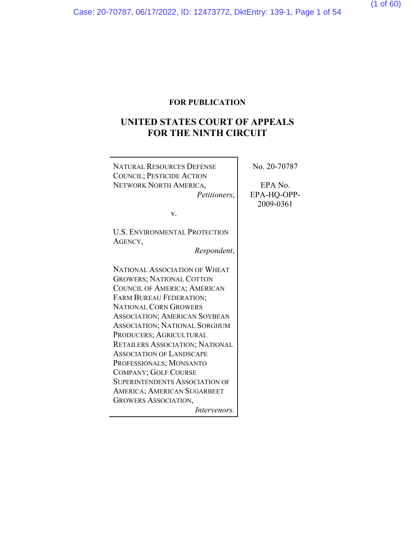### **FOR PUBLICATION**

# **UNITED STATES COURT OF APPEALS FOR THE NINTH CIRCUIT**

 $\overline{\mathbf{r}}$ 

| <b>NATURAL RESOURCES DEFENSE</b>      | No. 20-70787 |
|---------------------------------------|--------------|
| <b>COUNCIL; PESTICIDE ACTION</b>      |              |
| NETWORK NORTH AMERICA,                | EPA No.      |
| <i>Petitioners,</i>                   | EPA-HQ-OPP-  |
|                                       | 2009-0361    |
| V.                                    |              |
|                                       |              |
| <b>U.S. ENVIRONMENTAL PROTECTION</b>  |              |
| AGENCY,                               |              |
| Respondent,                           |              |
|                                       |              |
| <b>NATIONAL ASSOCIATION OF WHEAT</b>  |              |
| <b>GROWERS; NATIONAL COTTON</b>       |              |
| COUNCIL OF AMERICA; AMERICAN          |              |
| FARM BUREAU FEDERATION;               |              |
| <b>NATIONAL CORN GROWERS</b>          |              |
| <b>ASSOCIATION; AMERICAN SOYBEAN</b>  |              |
| ASSOCIATION; NATIONAL SORGHUM         |              |
| PRODUCERS; AGRICULTURAL               |              |
| RETAILERS ASSOCIATION; NATIONAL       |              |
| <b>ASSOCIATION OF LANDSCAPE</b>       |              |
| PROFESSIONALS; MONSANTO               |              |
| <b>COMPANY; GOLF COURSE</b>           |              |
| <b>SUPERINTENDENTS ASSOCIATION OF</b> |              |
| AMERICA; AMERICAN SUGARBEET           |              |
| <b>GROWERS ASSOCIATION,</b>           |              |
| Intervenors.                          |              |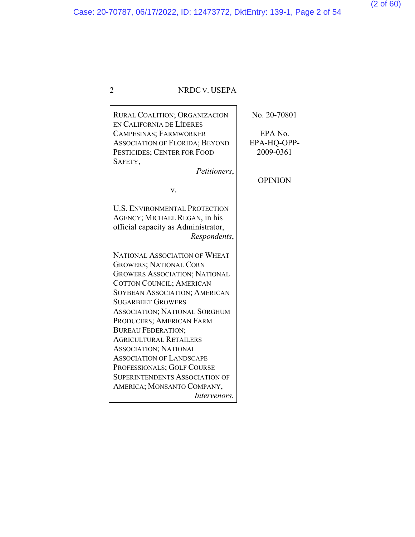|                           | NRDC v. USEPA                                                                                                                                                                                                                                                                                                                                                                                                                                         |                                                                       |
|---------------------------|-------------------------------------------------------------------------------------------------------------------------------------------------------------------------------------------------------------------------------------------------------------------------------------------------------------------------------------------------------------------------------------------------------------------------------------------------------|-----------------------------------------------------------------------|
| SAFETY,                   | RURAL COALITION; ORGANIZACION<br>EN CALIFORNIA DE LÍDERES<br>CAMPESINAS; FARMWORKER<br><b>ASSOCIATION OF FLORIDA; BEYOND</b><br>PESTICIDES; CENTER FOR FOOD<br>Petitioners,<br>v.                                                                                                                                                                                                                                                                     | No. 20-70801<br>EPA No.<br>EPA-HQ-OPP-<br>2009-0361<br><b>OPINION</b> |
|                           | <b>U.S. ENVIRONMENTAL PROTECTION</b><br>AGENCY; MICHAEL REGAN, in his<br>official capacity as Administrator,<br>Respondents,                                                                                                                                                                                                                                                                                                                          |                                                                       |
| <b>BUREAU FEDERATION;</b> | <b>NATIONAL ASSOCIATION OF WHEAT</b><br><b>GROWERS; NATIONAL CORN</b><br><b>GROWERS ASSOCIATION; NATIONAL</b><br>COTTON COUNCIL; AMERICAN<br><b>SOYBEAN ASSOCIATION; AMERICAN</b><br><b>SUGARBEET GROWERS</b><br>ASSOCIATION; NATIONAL SORGHUM<br>PRODUCERS; AMERICAN FARM<br><b>AGRICULTURAL RETAILERS</b><br><b>ASSOCIATION; NATIONAL</b><br><b>ASSOCIATION OF LANDSCAPE</b><br>PROFESSIONALS; GOLF COURSE<br><b>SUPERINTENDENTS ASSOCIATION OF</b> |                                                                       |
|                           | AMERICA; MONSANTO COMPANY,<br><i>Intervenors.</i>                                                                                                                                                                                                                                                                                                                                                                                                     |                                                                       |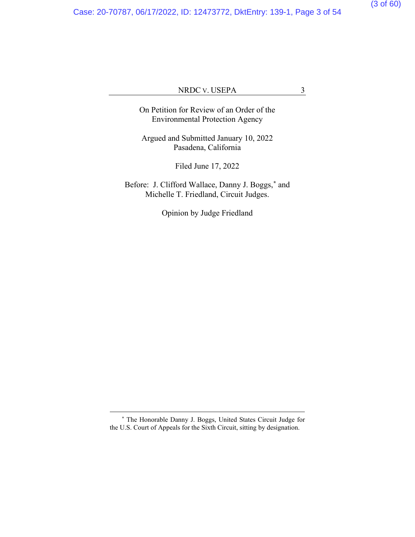Case: 20-70787, 06/17/2022, ID: 12473772, DktEntry: 139-1, Page 3 of 54

(3 of 60)

### NRDC V. USEPA 3

On Petition for Review of an Order of the Environmental Protection Agency

Argued and Submitted January 10, 2022 Pasadena, California

Filed June 17, 2022

Before: J. Clifford Wallace, Danny J. Boggs,**[\\*](#page-52-0)** and Michelle T. Friedland, Circuit Judges.

Opinion by Judge Friedland

**<sup>\*</sup>** The Honorable Danny J. Boggs, United States Circuit Judge for the U.S. Court of Appeals for the Sixth Circuit, sitting by designation.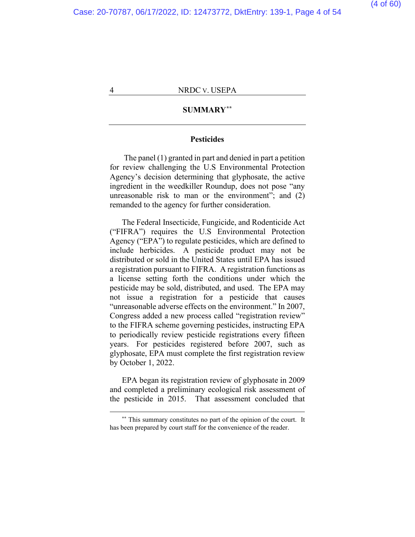#### **SUMMARY[\\*\\*](#page-52-0)**

#### **Pesticides**

The panel (1) granted in part and denied in part a petition for review challenging the U.S Environmental Protection Agency's decision determining that glyphosate, the active ingredient in the weedkiller Roundup, does not pose "any unreasonable risk to man or the environment"; and (2) remanded to the agency for further consideration.

The Federal Insecticide, Fungicide, and Rodenticide Act ("FIFRA") requires the U.S Environmental Protection Agency ("EPA") to regulate pesticides, which are defined to include herbicides. A pesticide product may not be distributed or sold in the United States until EPA has issued a registration pursuant to FIFRA. A registration functions as a license setting forth the conditions under which the pesticide may be sold, distributed, and used. The EPA may not issue a registration for a pesticide that causes "unreasonable adverse effects on the environment." In 2007, Congress added a new process called "registration review" to the FIFRA scheme governing pesticides, instructing EPA to periodically review pesticide registrations every fifteen years. For pesticides registered before 2007, such as glyphosate, EPA must complete the first registration review by October 1, 2022.

EPA began its registration review of glyphosate in 2009 and completed a preliminary ecological risk assessment of the pesticide in 2015. That assessment concluded that

**<sup>\*\*</sup>** This summary constitutes no part of the opinion of the court. It has been prepared by court staff for the convenience of the reader.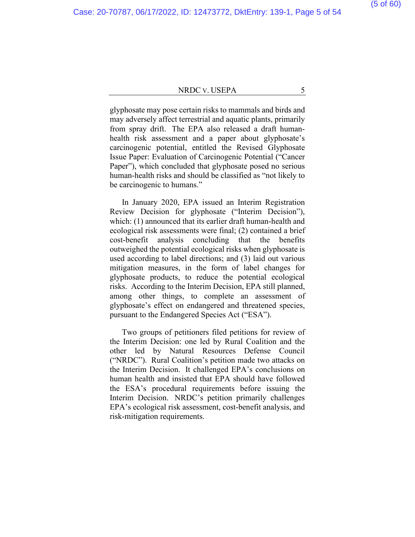glyphosate may pose certain risks to mammals and birds and may adversely affect terrestrial and aquatic plants, primarily from spray drift. The EPA also released a draft humanhealth risk assessment and a paper about glyphosate's carcinogenic potential, entitled the Revised Glyphosate Issue Paper: Evaluation of Carcinogenic Potential ("Cancer Paper"), which concluded that glyphosate posed no serious human-health risks and should be classified as "not likely to be carcinogenic to humans."

In January 2020, EPA issued an Interim Registration Review Decision for glyphosate ("Interim Decision"), which: (1) announced that its earlier draft human-health and ecological risk assessments were final; (2) contained a brief cost-benefit analysis concluding that the benefits outweighed the potential ecological risks when glyphosate is used according to label directions; and (3) laid out various mitigation measures, in the form of label changes for glyphosate products, to reduce the potential ecological risks. According to the Interim Decision, EPA still planned, among other things, to complete an assessment of glyphosate's effect on endangered and threatened species, pursuant to the Endangered Species Act ("ESA").

Two groups of petitioners filed petitions for review of the Interim Decision: one led by Rural Coalition and the other led by Natural Resources Defense Council ("NRDC"). Rural Coalition's petition made two attacks on the Interim Decision. It challenged EPA's conclusions on human health and insisted that EPA should have followed the ESA's procedural requirements before issuing the Interim Decision. NRDC's petition primarily challenges EPA's ecological risk assessment, cost-benefit analysis, and risk-mitigation requirements.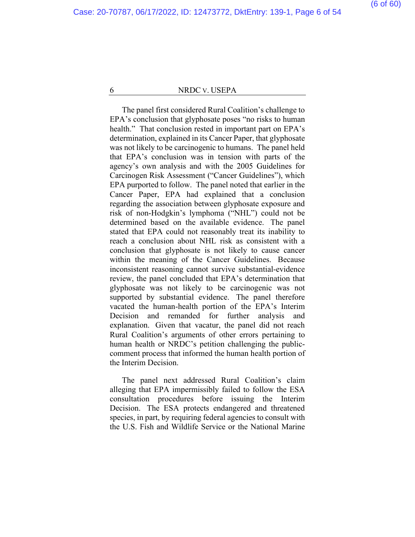The panel first considered Rural Coalition's challenge to EPA's conclusion that glyphosate poses "no risks to human health." That conclusion rested in important part on EPA's determination, explained in its Cancer Paper, that glyphosate was not likely to be carcinogenic to humans. The panel held that EPA's conclusion was in tension with parts of the agency's own analysis and with the 2005 Guidelines for Carcinogen Risk Assessment ("Cancer Guidelines"), which EPA purported to follow. The panel noted that earlier in the Cancer Paper, EPA had explained that a conclusion regarding the association between glyphosate exposure and risk of non-Hodgkin's lymphoma ("NHL") could not be determined based on the available evidence. The panel stated that EPA could not reasonably treat its inability to reach a conclusion about NHL risk as consistent with a conclusion that glyphosate is not likely to cause cancer within the meaning of the Cancer Guidelines. Because inconsistent reasoning cannot survive substantial-evidence review, the panel concluded that EPA's determination that glyphosate was not likely to be carcinogenic was not supported by substantial evidence. The panel therefore vacated the human-health portion of the EPA's Interim Decision and remanded for further analysis and explanation. Given that vacatur, the panel did not reach Rural Coalition's arguments of other errors pertaining to human health or NRDC's petition challenging the publiccomment process that informed the human health portion of the Interim Decision.

The panel next addressed Rural Coalition's claim alleging that EPA impermissibly failed to follow the ESA consultation procedures before issuing the Interim Decision. The ESA protects endangered and threatened species, in part, by requiring federal agencies to consult with the U.S. Fish and Wildlife Service or the National Marine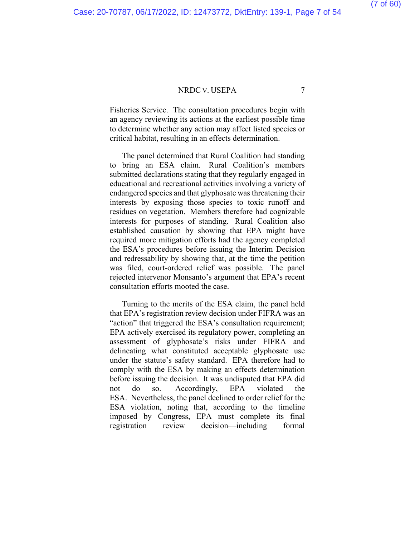Fisheries Service. The consultation procedures begin with an agency reviewing its actions at the earliest possible time to determine whether any action may affect listed species or critical habitat, resulting in an effects determination.

The panel determined that Rural Coalition had standing to bring an ESA claim. Rural Coalition's members submitted declarations stating that they regularly engaged in educational and recreational activities involving a variety of endangered species and that glyphosate was threatening their interests by exposing those species to toxic runoff and residues on vegetation. Members therefore had cognizable interests for purposes of standing. Rural Coalition also established causation by showing that EPA might have required more mitigation efforts had the agency completed the ESA's procedures before issuing the Interim Decision and redressability by showing that, at the time the petition was filed, court-ordered relief was possible. The panel rejected intervenor Monsanto's argument that EPA's recent consultation efforts mooted the case.

Turning to the merits of the ESA claim, the panel held that EPA's registration review decision under FIFRA was an "action" that triggered the ESA's consultation requirement; EPA actively exercised its regulatory power, completing an assessment of glyphosate's risks under FIFRA and delineating what constituted acceptable glyphosate use under the statute's safety standard. EPA therefore had to comply with the ESA by making an effects determination before issuing the decision. It was undisputed that EPA did not do so. Accordingly, EPA violated the ESA. Nevertheless, the panel declined to order relief for the ESA violation, noting that, according to the timeline imposed by Congress, EPA must complete its final registration review decision—including formal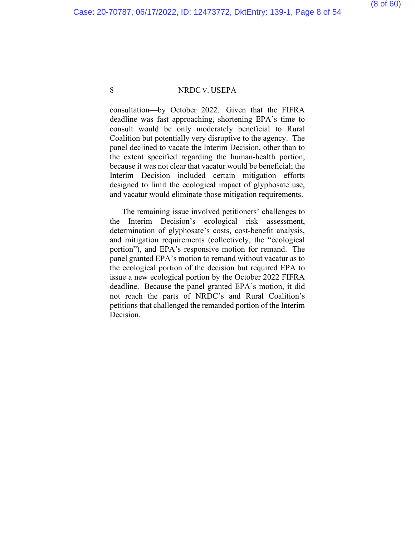consultation—by October 2022. Given that the FIFRA deadline was fast approaching, shortening EPA's time to consult would be only moderately beneficial to Rural Coalition but potentially very disruptive to the agency. The panel declined to vacate the Interim Decision, other than to the extent specified regarding the human-health portion, because it was not clear that vacatur would be beneficial; the Interim Decision included certain mitigation efforts designed to limit the ecological impact of glyphosate use, and vacatur would eliminate those mitigation requirements.

The remaining issue involved petitioners' challenges to the Interim Decision's ecological risk assessment, determination of glyphosate's costs, cost-benefit analysis, and mitigation requirements (collectively, the "ecological portion"), and EPA's responsive motion for remand. The panel granted EPA's motion to remand without vacatur as to the ecological portion of the decision but required EPA to issue a new ecological portion by the October 2022 FIFRA deadline. Because the panel granted EPA's motion, it did not reach the parts of NRDC's and Rural Coalition's petitions that challenged the remanded portion of the Interim Decision.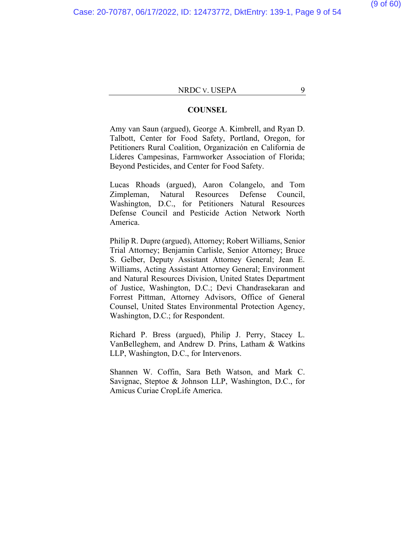#### **COUNSEL**

Amy van Saun (argued), George A. Kimbrell, and Ryan D. Talbott, Center for Food Safety, Portland, Oregon, for Petitioners Rural Coalition, Organización en California de Líderes Campesinas, Farmworker Association of Florida; Beyond Pesticides, and Center for Food Safety.

Lucas Rhoads (argued), Aaron Colangelo, and Tom Zimpleman, Natural Resources Defense Council, Washington, D.C., for Petitioners Natural Resources Defense Council and Pesticide Action Network North America.

Philip R. Dupre (argued), Attorney; Robert Williams, Senior Trial Attorney; Benjamin Carlisle, Senior Attorney; Bruce S. Gelber, Deputy Assistant Attorney General; Jean E. Williams, Acting Assistant Attorney General; Environment and Natural Resources Division, United States Department of Justice, Washington, D.C.; Devi Chandrasekaran and Forrest Pittman, Attorney Advisors, Office of General Counsel, United States Environmental Protection Agency, Washington, D.C.; for Respondent.

Richard P. Bress (argued), Philip J. Perry, Stacey L. VanBelleghem, and Andrew D. Prins, Latham & Watkins LLP, Washington, D.C., for Intervenors.

Shannen W. Coffin, Sara Beth Watson, and Mark C. Savignac, Steptoe & Johnson LLP, Washington, D.C., for Amicus Curiae CropLife America.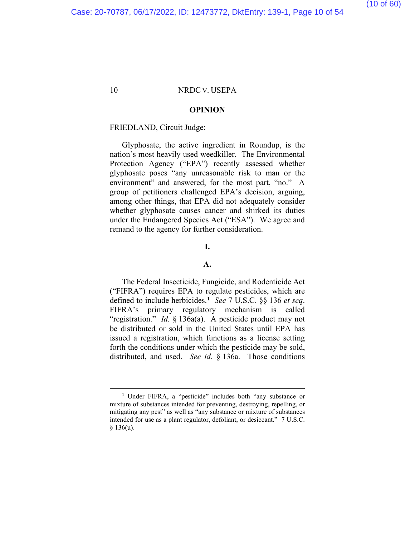#### **OPINION**

#### FRIEDLAND, Circuit Judge:

Glyphosate, the active ingredient in Roundup, is the nation's most heavily used weedkiller. The Environmental Protection Agency ("EPA") recently assessed whether glyphosate poses "any unreasonable risk to man or the environment" and answered, for the most part, "no." A group of petitioners challenged EPA's decision, arguing, among other things, that EPA did not adequately consider whether glyphosate causes cancer and shirked its duties under the Endangered Species Act ("ESA"). We agree and remand to the agency for further consideration.

### **I.**

#### **A.**

The Federal Insecticide, Fungicide, and Rodenticide Act ("FIFRA") requires EPA to regulate pesticides, which are defined to include herbicides.**[1](#page-52-0)** *See* 7 U.S.C. §§ 136 *et seq*. FIFRA's primary regulatory mechanism is called "registration." *Id.* § 136a(a). A pesticide product may not be distributed or sold in the United States until EPA has issued a registration, which functions as a license setting forth the conditions under which the pesticide may be sold, distributed, and used. *See id.* § 136a. Those conditions

**<sup>1</sup>** Under FIFRA, a "pesticide" includes both "any substance or mixture of substances intended for preventing, destroying, repelling, or mitigating any pest" as well as "any substance or mixture of substances intended for use as a plant regulator, defoliant, or desiccant." 7 U.S.C.  $§ 136(u).$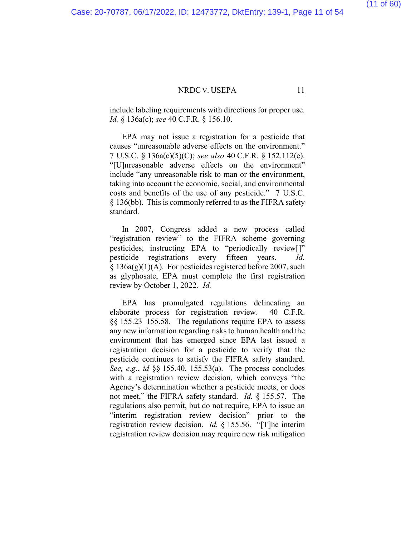(11 of 60)

#### NRDC V. USEPA 11

include labeling requirements with directions for proper use. *Id.* § 136a(c); *see* 40 C.F.R. § 156.10.

EPA may not issue a registration for a pesticide that causes "unreasonable adverse effects on the environment." 7 U.S.C. § 136a(c)(5)(C); *see also* 40 C.F.R. § 152.112(e). "[U]nreasonable adverse effects on the environment" include "any unreasonable risk to man or the environment, taking into account the economic, social, and environmental costs and benefits of the use of any pesticide." 7 U.S.C. § 136(bb). This is commonly referred to as the FIFRA safety standard.

In 2007, Congress added a new process called "registration review" to the FIFRA scheme governing pesticides, instructing EPA to "periodically review[]" pesticide registrations every fifteen years. *Id.*  $§ 136a(g)(1)(A)$ . For pesticides registered before 2007, such as glyphosate, EPA must complete the first registration review by October 1, 2022. *Id.*

EPA has promulgated regulations delineating an elaborate process for registration review. 40 C.F.R. §§ 155.23–155.58. The regulations require EPA to assess any new information regarding risks to human health and the environment that has emerged since EPA last issued a registration decision for a pesticide to verify that the pesticide continues to satisfy the FIFRA safety standard. *See, e.g.*, *id* §§ 155.40, 155.53(a). The process concludes with a registration review decision, which conveys "the Agency's determination whether a pesticide meets, or does not meet," the FIFRA safety standard. *Id.* § 155.57. The regulations also permit, but do not require, EPA to issue an "interim registration review decision" prior to the registration review decision. *Id.* § 155.56. "[T]he interim registration review decision may require new risk mitigation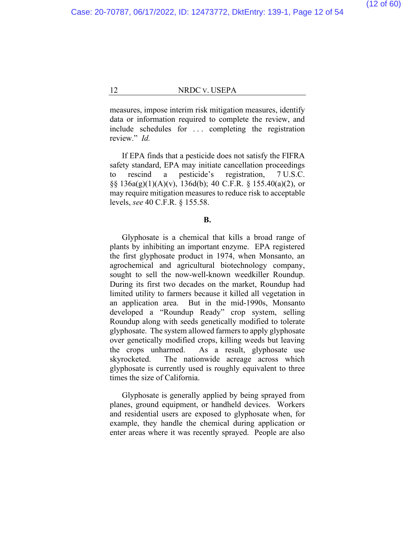measures, impose interim risk mitigation measures, identify data or information required to complete the review, and include schedules for . . . completing the registration review." *Id.*

If EPA finds that a pesticide does not satisfy the FIFRA safety standard, EPA may initiate cancellation proceedings to rescind a pesticide's registration, 7 U.S.C. §§  $136a(g)(1)(A)(v)$ ,  $136d(b)$ ; 40 C.F.R. § 155.40(a)(2), or may require mitigation measures to reduce risk to acceptable levels, *see* 40 C.F.R. § 155.58.

#### **B.**

Glyphosate is a chemical that kills a broad range of plants by inhibiting an important enzyme. EPA registered the first glyphosate product in 1974, when Monsanto, an agrochemical and agricultural biotechnology company, sought to sell the now-well-known weedkiller Roundup. During its first two decades on the market, Roundup had limited utility to farmers because it killed all vegetation in an application area. But in the mid-1990s, Monsanto developed a "Roundup Ready" crop system, selling Roundup along with seeds genetically modified to tolerate glyphosate. The system allowed farmers to apply glyphosate over genetically modified crops, killing weeds but leaving the crops unharmed. As a result, glyphosate use skyrocketed. The nationwide acreage across which glyphosate is currently used is roughly equivalent to three times the size of California.

Glyphosate is generally applied by being sprayed from planes, ground equipment, or handheld devices. Workers and residential users are exposed to glyphosate when, for example, they handle the chemical during application or enter areas where it was recently sprayed. People are also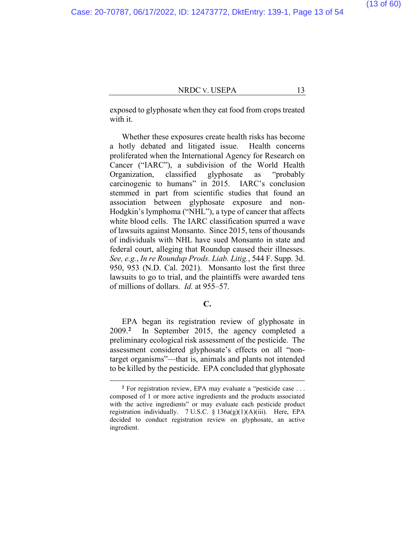exposed to glyphosate when they eat food from crops treated with it.

Whether these exposures create health risks has become a hotly debated and litigated issue. Health concerns proliferated when the International Agency for Research on Cancer ("IARC"), a subdivision of the World Health Organization, classified glyphosate as "probably carcinogenic to humans" in 2015. IARC's conclusion stemmed in part from scientific studies that found an association between glyphosate exposure and non-Hodgkin's lymphoma ("NHL"), a type of cancer that affects white blood cells. The IARC classification spurred a wave of lawsuits against Monsanto. Since 2015, tens of thousands of individuals with NHL have sued Monsanto in state and federal court, alleging that Roundup caused their illnesses. *See, e.g.*, *In re Roundup Prods. Liab. Litig.*, 544 F. Supp. 3d. 950, 953 (N.D. Cal. 2021). Monsanto lost the first three lawsuits to go to trial, and the plaintiffs were awarded tens of millions of dollars. *Id.* at 955–57.

#### **C.**

EPA began its registration review of glyphosate in 2009.**[2](#page-52-0)** In September 2015, the agency completed a preliminary ecological risk assessment of the pesticide. The assessment considered glyphosate's effects on all "nontarget organisms"—that is, animals and plants not intended to be killed by the pesticide. EPA concluded that glyphosate

**<sup>2</sup>** For registration review, EPA may evaluate a "pesticide case . . . composed of 1 or more active ingredients and the products associated with the active ingredients" or may evaluate each pesticide product registration individually. 7 U.S.C.  $\S$  136a(g)(1)(A)(iii). Here, EPA decided to conduct registration review on glyphosate, an active ingredient.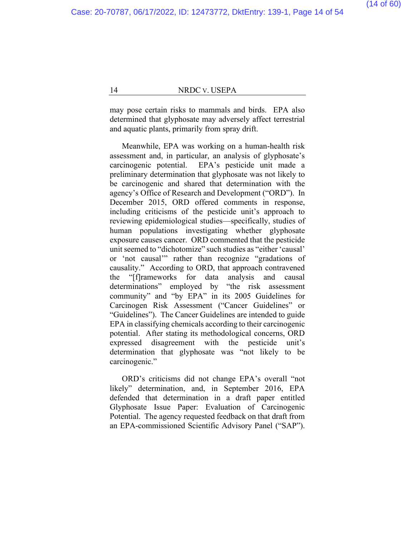may pose certain risks to mammals and birds. EPA also determined that glyphosate may adversely affect terrestrial and aquatic plants, primarily from spray drift.

Meanwhile, EPA was working on a human-health risk assessment and, in particular, an analysis of glyphosate's carcinogenic potential. EPA's pesticide unit made a preliminary determination that glyphosate was not likely to be carcinogenic and shared that determination with the agency's Office of Research and Development ("ORD"). In December 2015, ORD offered comments in response, including criticisms of the pesticide unit's approach to reviewing epidemiological studies—specifically, studies of human populations investigating whether glyphosate exposure causes cancer. ORD commented that the pesticide unit seemed to "dichotomize" such studies as "either 'causal' or 'not causal'" rather than recognize "gradations of causality." According to ORD, that approach contravened the "[f]rameworks for data analysis and causal determinations" employed by "the risk assessment community" and "by EPA" in its 2005 Guidelines for Carcinogen Risk Assessment ("Cancer Guidelines" or "Guidelines"). The Cancer Guidelines are intended to guide EPA in classifying chemicals according to their carcinogenic potential. After stating its methodological concerns, ORD expressed disagreement with the pesticide unit's determination that glyphosate was "not likely to be carcinogenic."

ORD's criticisms did not change EPA's overall "not likely" determination, and, in September 2016, EPA defended that determination in a draft paper entitled Glyphosate Issue Paper: Evaluation of Carcinogenic Potential. The agency requested feedback on that draft from an EPA-commissioned Scientific Advisory Panel ("SAP").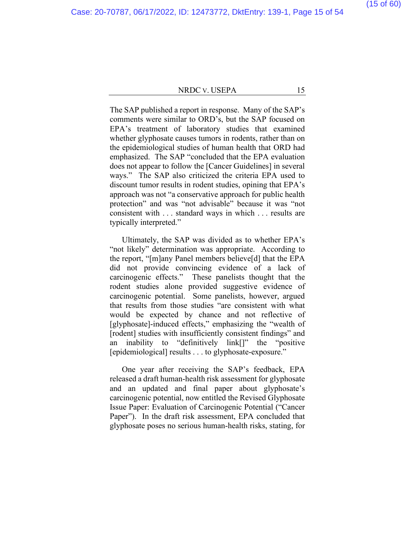### (15 of 60)

#### NRDC V. USEPA 15

The SAP published a report in response. Many of the SAP's comments were similar to ORD's, but the SAP focused on EPA's treatment of laboratory studies that examined whether glyphosate causes tumors in rodents, rather than on the epidemiological studies of human health that ORD had emphasized. The SAP "concluded that the EPA evaluation does not appear to follow the [Cancer Guidelines] in several ways." The SAP also criticized the criteria EPA used to discount tumor results in rodent studies, opining that EPA's approach was not "a conservative approach for public health protection" and was "not advisable" because it was "not consistent with . . . standard ways in which . . . results are typically interpreted."

Ultimately, the SAP was divided as to whether EPA's "not likely" determination was appropriate. According to the report, "[m]any Panel members believe[d] that the EPA did not provide convincing evidence of a lack of carcinogenic effects." These panelists thought that the rodent studies alone provided suggestive evidence of carcinogenic potential. Some panelists, however, argued that results from those studies "are consistent with what would be expected by chance and not reflective of [glyphosate]-induced effects," emphasizing the "wealth of [rodent] studies with insufficiently consistent findings" and an inability to "definitively link[]" the "positive [epidemiological] results . . . to glyphosate-exposure."

One year after receiving the SAP's feedback, EPA released a draft human-health risk assessment for glyphosate and an updated and final paper about glyphosate's carcinogenic potential, now entitled the Revised Glyphosate Issue Paper: Evaluation of Carcinogenic Potential ("Cancer Paper"). In the draft risk assessment, EPA concluded that glyphosate poses no serious human-health risks, stating, for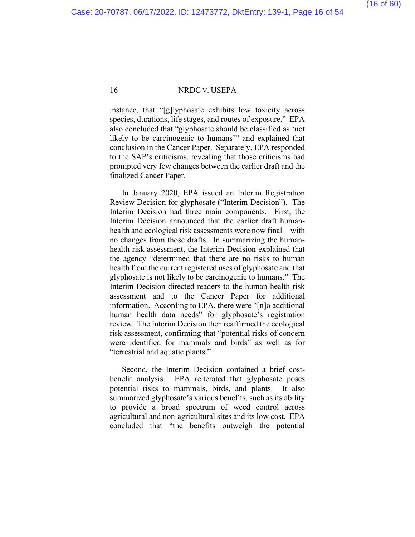instance, that "[g]lyphosate exhibits low toxicity across species, durations, life stages, and routes of exposure." EPA also concluded that "glyphosate should be classified as 'not likely to be carcinogenic to humans" and explained that conclusion in the Cancer Paper. Separately, EPA responded to the SAP's criticisms, revealing that those criticisms had prompted very few changes between the earlier draft and the finalized Cancer Paper.

In January 2020, EPA issued an Interim Registration Review Decision for glyphosate ("Interim Decision"). The Interim Decision had three main components. First, the Interim Decision announced that the earlier draft humanhealth and ecological risk assessments were now final—with no changes from those drafts. In summarizing the humanhealth risk assessment, the Interim Decision explained that the agency "determined that there are no risks to human health from the current registered uses of glyphosate and that glyphosate is not likely to be carcinogenic to humans."The Interim Decision directed readers to the human-health risk assessment and to the Cancer Paper for additional information.According to EPA, there were "[n]o additional human health data needs" for glyphosate's registration review. The Interim Decision then reaffirmed the ecological risk assessment, confirming that "potential risks of concern were identified for mammals and birds" as well as for "terrestrial and aquatic plants."

Second, the Interim Decision contained a brief costbenefit analysis. EPA reiterated that glyphosate poses potential risks to mammals, birds, and plants. It also summarized glyphosate's various benefits, such as its ability to provide a broad spectrum of weed control across agricultural and non-agricultural sites and its low cost. EPA concluded that "the benefits outweigh the potential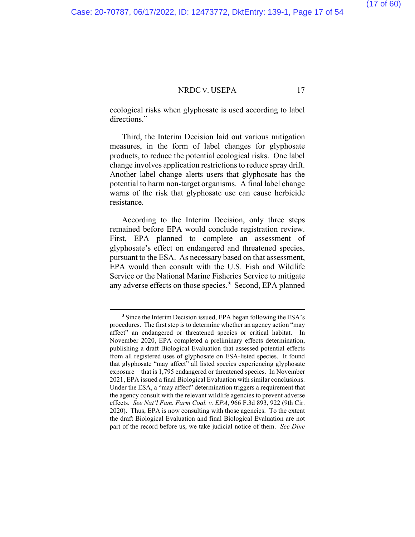ecological risks when glyphosate is used according to label directions."

Third, the Interim Decision laid out various mitigation measures, in the form of label changes for glyphosate products, to reduce the potential ecological risks. One label change involves application restrictions to reduce spray drift. Another label change alerts users that glyphosate has the potential to harm non-target organisms. A final label change warns of the risk that glyphosate use can cause herbicide resistance.

According to the Interim Decision, only three steps remained before EPA would conclude registration review. First, EPA planned to complete an assessment of glyphosate's effect on endangered and threatened species, pursuant to the ESA. As necessary based on that assessment, EPA would then consult with the U.S. Fish and Wildlife Service or the National Marine Fisheries Service to mitigate any adverse effects on those species.**[3](#page-52-0)** Second, EPA planned

(17 of 60)

**<sup>3</sup>** Since the Interim Decision issued, EPA began following the ESA's procedures. The first step is to determine whether an agency action "may affect" an endangered or threatened species or critical habitat. In November 2020, EPA completed a preliminary effects determination, publishing a draft Biological Evaluation that assessed potential effects from all registered uses of glyphosate on ESA-listed species. It found that glyphosate "may affect" all listed species experiencing glyphosate exposure—that is 1,795 endangered or threatened species. In November 2021, EPA issued a final Biological Evaluation with similar conclusions. Under the ESA, a "may affect" determination triggers a requirement that the agency consult with the relevant wildlife agencies to prevent adverse effects. *See Nat'l Fam. Farm Coal. v. EPA*, 966 F.3d 893, 922 (9th Cir. 2020). Thus, EPA is now consulting with those agencies. To the extent the draft Biological Evaluation and final Biological Evaluation are not part of the record before us, we take judicial notice of them. *See Dine*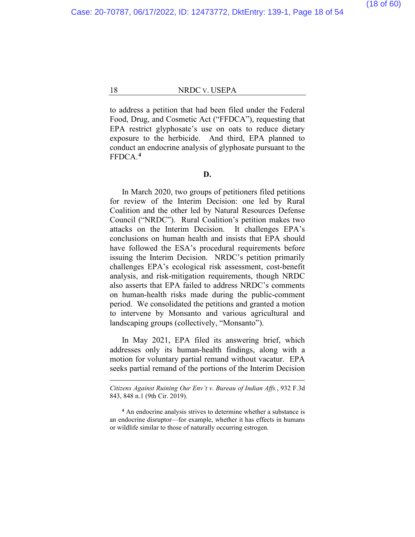to address a petition that had been filed under the Federal Food, Drug, and Cosmetic Act ("FFDCA"), requesting that EPA restrict glyphosate's use on oats to reduce dietary exposure to the herbicide. And third, EPA planned to conduct an endocrine analysis of glyphosate pursuant to the FFDCA.**[4](#page-52-0)**

#### **D.**

In March 2020, two groups of petitioners filed petitions for review of the Interim Decision: one led by Rural Coalition and the other led by Natural Resources Defense Council ("NRDC"). Rural Coalition's petition makes two attacks on the Interim Decision. It challenges EPA's conclusions on human health and insists that EPA should have followed the ESA's procedural requirements before issuing the Interim Decision. NRDC's petition primarily challenges EPA's ecological risk assessment, cost-benefit analysis, and risk-mitigation requirements, though NRDC also asserts that EPA failed to address NRDC's comments on human-health risks made during the public-comment period. We consolidated the petitions and granted a motion to intervene by Monsanto and various agricultural and landscaping groups (collectively, "Monsanto").

In May 2021, EPA filed its answering brief, which addresses only its human-health findings, along with a motion for voluntary partial remand without vacatur. EPA seeks partial remand of the portions of the Interim Decision

*Citizens Against Ruining Our Env't v. Bureau of Indian Affs.*, 932 F.3d 843, 848 n.1 (9th Cir. 2019).

**<sup>4</sup>** An endocrine analysis strives to determine whether a substance is an endocrine disruptor—for example, whether it has effects in humans or wildlife similar to those of naturally occurring estrogen.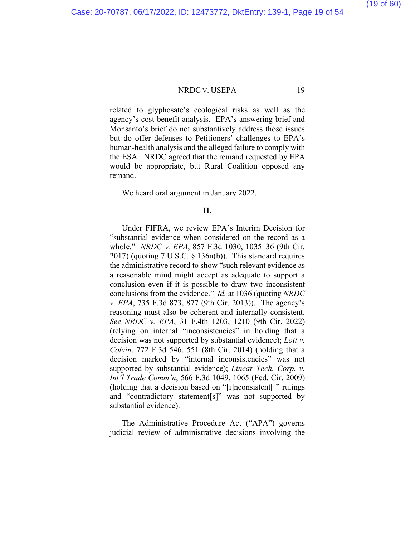related to glyphosate's ecological risks as well as the agency's cost-benefit analysis. EPA's answering brief and Monsanto's brief do not substantively address those issues but do offer defenses to Petitioners' challenges to EPA's human-health analysis and the alleged failure to comply with the ESA. NRDC agreed that the remand requested by EPA would be appropriate, but Rural Coalition opposed any remand.

#### We heard oral argument in January 2022.

#### **II.**

Under FIFRA, we review EPA's Interim Decision for "substantial evidence when considered on the record as a whole." *NRDC v. EPA*, 857 F.3d 1030, 1035–36 (9th Cir. 2017) (quoting 7 U.S.C. § 136n(b)). This standard requires the administrative record to show "such relevant evidence as a reasonable mind might accept as adequate to support a conclusion even if it is possible to draw two inconsistent conclusions from the evidence." *Id.* at 1036 (quoting *NRDC v. EPA*, 735 F.3d 873, 877 (9th Cir. 2013)). The agency's reasoning must also be coherent and internally consistent. *See NRDC v. EPA*, 31 F.4th 1203, 1210 (9th Cir. 2022) (relying on internal "inconsistencies" in holding that a decision was not supported by substantial evidence); *Lott v. Colvin*, 772 F.3d 546, 551 (8th Cir. 2014) (holding that a decision marked by "internal inconsistencies" was not supported by substantial evidence); *Linear Tech. Corp. v. Int'l Trade Comm'n*, 566 F.3d 1049, 1065 (Fed. Cir. 2009) (holding that a decision based on "[i]nconsistent[]" rulings and "contradictory statement[s]" was not supported by substantial evidence).

The Administrative Procedure Act ("APA") governs judicial review of administrative decisions involving the (19 of 60)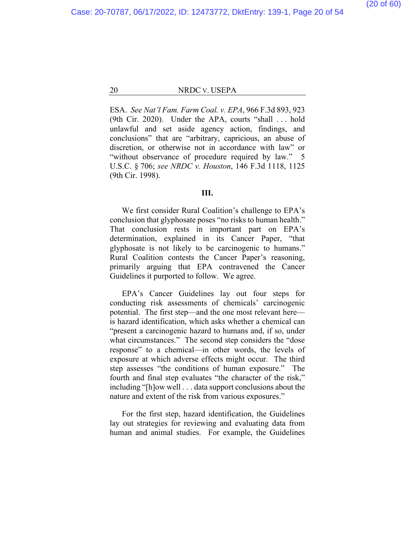ESA. *See Nat'l Fam. Farm Coal. v. EPA*, 966 F.3d 893, 923 (9th Cir. 2020). Under the APA, courts "shall . . . hold unlawful and set aside agency action, findings, and conclusions" that are "arbitrary, capricious, an abuse of discretion, or otherwise not in accordance with law" or "without observance of procedure required by law." 5 U.S.C. § 706; *see NRDC v. Houston*, 146 F.3d 1118, 1125 (9th Cir. 1998).

#### **III.**

We first consider Rural Coalition's challenge to EPA's conclusion that glyphosate poses "no risks to human health." That conclusion rests in important part on EPA's determination, explained in its Cancer Paper, "that glyphosate is not likely to be carcinogenic to humans." Rural Coalition contests the Cancer Paper's reasoning, primarily arguing that EPA contravened the Cancer Guidelines it purported to follow.We agree.

EPA's Cancer Guidelines lay out four steps for conducting risk assessments of chemicals' carcinogenic potential. The first step—and the one most relevant here is hazard identification, which asks whether a chemical can "present a carcinogenic hazard to humans and, if so, under what circumstances." The second step considers the "dose response" to a chemical—in other words, the levels of exposure at which adverse effects might occur. The third step assesses "the conditions of human exposure." The fourth and final step evaluates "the character of the risk," including "[h]ow well . . . data support conclusions about the nature and extent of the risk from various exposures."

For the first step, hazard identification, the Guidelines lay out strategies for reviewing and evaluating data from human and animal studies. For example, the Guidelines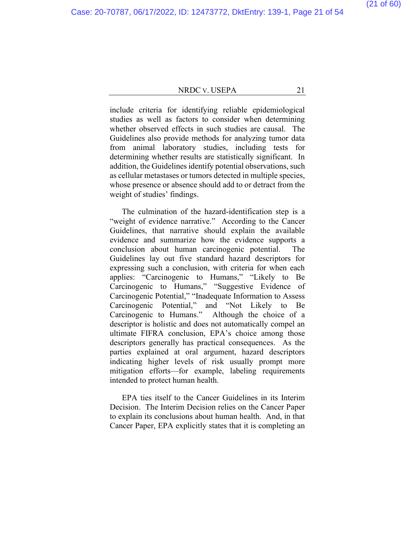#### (21 of 60)

#### NRDC V. USEPA 21

include criteria for identifying reliable epidemiological studies as well as factors to consider when determining whether observed effects in such studies are causal. The Guidelines also provide methods for analyzing tumor data from animal laboratory studies, including tests for determining whether results are statistically significant. In addition, the Guidelines identify potential observations, such as cellular metastases or tumors detected in multiple species, whose presence or absence should add to or detract from the weight of studies' findings.

The culmination of the hazard-identification step is a "weight of evidence narrative." According to the Cancer Guidelines, that narrative should explain the available evidence and summarize how the evidence supports a conclusion about human carcinogenic potential. The Guidelines lay out five standard hazard descriptors for expressing such a conclusion, with criteria for when each applies: "Carcinogenic to Humans," "Likely to Be Carcinogenic to Humans," "Suggestive Evidence of Carcinogenic Potential," "Inadequate Information to Assess Carcinogenic Potential," and "Not Likely to Be Carcinogenic to Humans." Although the choice of a descriptor is holistic and does not automatically compel an ultimate FIFRA conclusion, EPA's choice among those descriptors generally has practical consequences. As the parties explained at oral argument, hazard descriptors indicating higher levels of risk usually prompt more mitigation efforts—for example, labeling requirements intended to protect human health.

EPA ties itself to the Cancer Guidelines in its Interim Decision. The Interim Decision relies on the Cancer Paper to explain its conclusions about human health. And, in that Cancer Paper, EPA explicitly states that it is completing an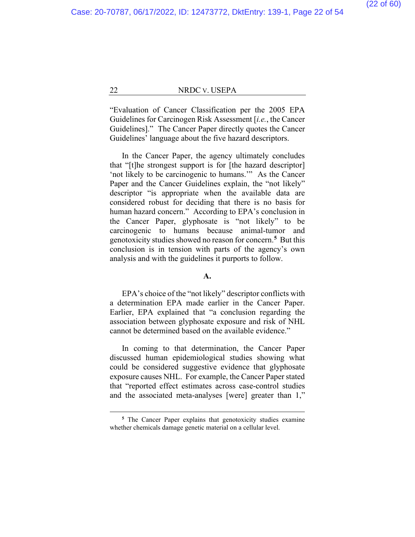"Evaluation of Cancer Classification per the 2005 EPA Guidelines for Carcinogen Risk Assessment [*i.e.*, the Cancer Guidelines]." The Cancer Paper directly quotes the Cancer Guidelines' language about the five hazard descriptors.

In the Cancer Paper, the agency ultimately concludes that "[t]he strongest support is for [the hazard descriptor] 'not likely to be carcinogenic to humans.'" As the Cancer Paper and the Cancer Guidelines explain, the "not likely" descriptor "is appropriate when the available data are considered robust for deciding that there is no basis for human hazard concern." According to EPA's conclusion in the Cancer Paper, glyphosate is "not likely" to be carcinogenic to humans because animal-tumor and genotoxicity studies showed no reason for concern.**[5](#page-52-0)** But this conclusion is in tension with parts of the agency's own analysis and with the guidelines it purports to follow.

#### **A.**

EPA's choice of the "not likely" descriptor conflicts with a determination EPA made earlier in the Cancer Paper. Earlier, EPA explained that "a conclusion regarding the association between glyphosate exposure and risk of NHL cannot be determined based on the available evidence."

In coming to that determination, the Cancer Paper discussed human epidemiological studies showing what could be considered suggestive evidence that glyphosate exposure causes NHL. For example, the Cancer Paper stated that "reported effect estimates across case-control studies and the associated meta-analyses [were] greater than 1,"

**<sup>5</sup>** The Cancer Paper explains that genotoxicity studies examine whether chemicals damage genetic material on a cellular level.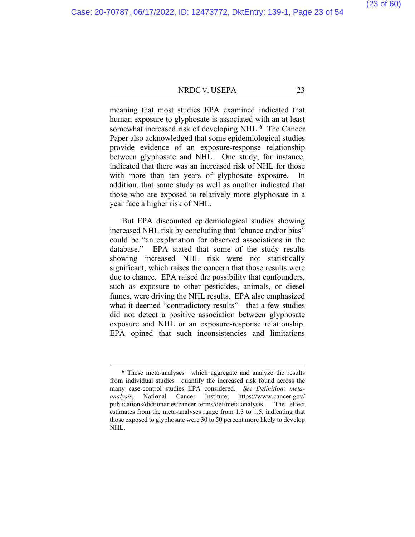meaning that most studies EPA examined indicated that human exposure to glyphosate is associated with an at least somewhat increased risk of developing NHL.**[6](#page-52-0)** The Cancer Paper also acknowledged that some epidemiological studies provide evidence of an exposure-response relationship between glyphosate and NHL. One study, for instance, indicated that there was an increased risk of NHL for those with more than ten years of glyphosate exposure. In addition, that same study as well as another indicated that those who are exposed to relatively more glyphosate in a year face a higher risk of NHL.

But EPA discounted epidemiological studies showing increased NHL risk by concluding that "chance and/or bias" could be "an explanation for observed associations in the database." EPA stated that some of the study results showing increased NHL risk were not statistically significant, which raises the concern that those results were due to chance. EPA raised the possibility that confounders, such as exposure to other pesticides, animals, or diesel fumes, were driving the NHL results. EPA also emphasized what it deemed "contradictory results"—that a few studies did not detect a positive association between glyphosate exposure and NHL or an exposure-response relationship. EPA opined that such inconsistencies and limitations

**<sup>6</sup>** These meta-analyses—which aggregate and analyze the results from individual studies—quantify the increased risk found across the many case-control studies EPA considered. *See Definition: metaanalysis*, National Cancer Institute, https://www.cancer.gov/ publications/dictionaries/cancer-terms/def/meta-analysis. The effect estimates from the meta-analyses range from 1.3 to 1.5, indicating that those exposed to glyphosate were 30 to 50 percent more likely to develop NHL.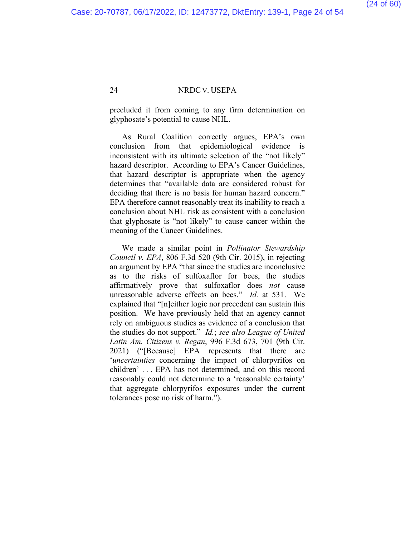precluded it from coming to any firm determination on glyphosate's potential to cause NHL.

As Rural Coalition correctly argues, EPA's own conclusion from that epidemiological evidence is inconsistent with its ultimate selection of the "not likely" hazard descriptor. According to EPA's Cancer Guidelines, that hazard descriptor is appropriate when the agency determines that "available data are considered robust for deciding that there is no basis for human hazard concern." EPA therefore cannot reasonably treat its inability to reach a conclusion about NHL risk as consistent with a conclusion that glyphosate is "not likely" to cause cancer within the meaning of the Cancer Guidelines.

We made a similar point in *Pollinator Stewardship Council v. EPA*, 806 F.3d 520 (9th Cir. 2015), in rejecting an argument by EPA "that since the studies are inconclusive as to the risks of sulfoxaflor for bees, the studies affirmatively prove that sulfoxaflor does *not* cause unreasonable adverse effects on bees." *Id.* at 531. We explained that "[n]either logic nor precedent can sustain this position. We have previously held that an agency cannot rely on ambiguous studies as evidence of a conclusion that the studies do not support." *Id.*; *see also League of United Latin Am. Citizens v. Regan*, 996 F.3d 673, 701 (9th Cir. 2021) ("[Because] EPA represents that there are '*uncertainties* concerning the impact of chlorpyrifos on children' . . . EPA has not determined, and on this record reasonably could not determine to a 'reasonable certainty' that aggregate chlorpyrifos exposures under the current tolerances pose no risk of harm.").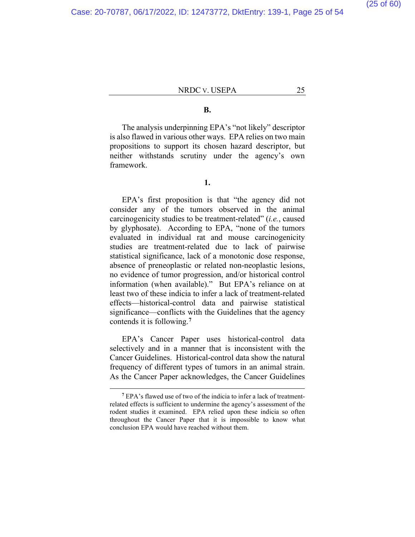#### **B.**

The analysis underpinning EPA's "not likely" descriptor is also flawed in various other ways. EPA relies on two main propositions to support its chosen hazard descriptor, but neither withstands scrutiny under the agency's own framework.

#### **1.**

EPA's first proposition is that "the agency did not consider any of the tumors observed in the animal carcinogenicity studies to be treatment-related" (*i.e.*, caused by glyphosate). According to EPA, "none of the tumors evaluated in individual rat and mouse carcinogenicity studies are treatment-related due to lack of pairwise statistical significance, lack of a monotonic dose response, absence of preneoplastic or related non-neoplastic lesions, no evidence of tumor progression, and/or historical control information (when available)." But EPA's reliance on at least two of these indicia to infer a lack of treatment-related effects—historical-control data and pairwise statistical significance—conflicts with the Guidelines that the agency contends it is following.**[7](#page-52-0)**

EPA's Cancer Paper uses historical-control data selectively and in a manner that is inconsistent with the Cancer Guidelines. Historical-control data show the natural frequency of different types of tumors in an animal strain. As the Cancer Paper acknowledges, the Cancer Guidelines

**<sup>7</sup>** EPA's flawed use of two of the indicia to infer a lack of treatmentrelated effects is sufficient to undermine the agency's assessment of the rodent studies it examined. EPA relied upon these indicia so often throughout the Cancer Paper that it is impossible to know what conclusion EPA would have reached without them.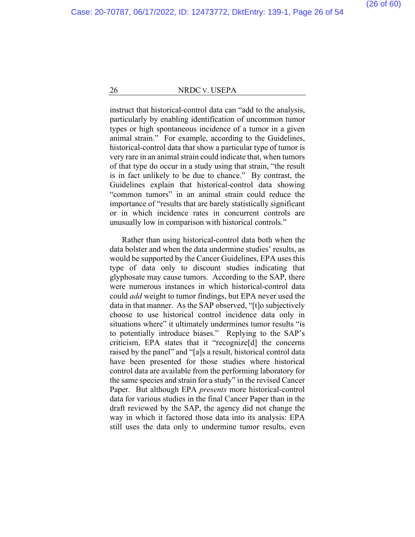instruct that historical-control data can "add to the analysis, particularly by enabling identification of uncommon tumor types or high spontaneous incidence of a tumor in a given animal strain." For example, according to the Guidelines, historical-control data that show a particular type of tumor is very rare in an animal strain could indicate that, when tumors of that type do occur in a study using that strain, "the result is in fact unlikely to be due to chance." By contrast, the Guidelines explain that historical-control data showing "common tumors" in an animal strain could reduce the importance of "results that are barely statistically significant or in which incidence rates in concurrent controls are unusually low in comparison with historical controls."

Rather than using historical-control data both when the data bolster and when the data undermine studies' results, as would be supported by the Cancer Guidelines, EPA uses this type of data only to discount studies indicating that glyphosate may cause tumors. According to the SAP, there were numerous instances in which historical-control data could *add* weight to tumor findings, but EPA never used the data in that manner. As the SAP observed, "[t]o subjectively choose to use historical control incidence data only in situations where" it ultimately undermines tumor results "is to potentially introduce biases." Replying to the SAP's criticism, EPA states that it "recognize[d] the concerns raised by the panel" and "[a]s a result, historical control data have been presented for those studies where historical control data are available from the performing laboratory for the same species and strain for a study" in the revised Cancer Paper. But although EPA *presents* more historical-control data for various studies in the final Cancer Paper than in the draft reviewed by the SAP, the agency did not change the way in which it factored those data into its analysis: EPA still uses the data only to undermine tumor results, even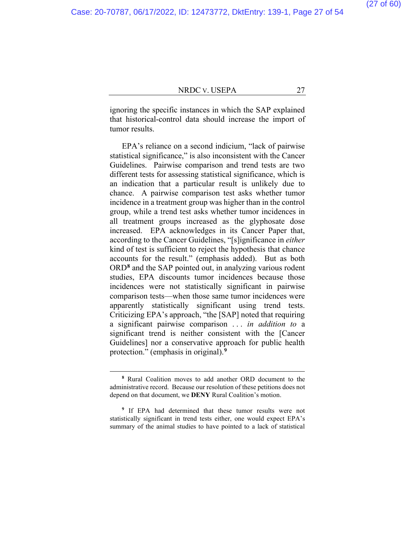ignoring the specific instances in which the SAP explained that historical-control data should increase the import of tumor results.

EPA's reliance on a second indicium, "lack of pairwise statistical significance," is also inconsistent with the Cancer Guidelines. Pairwise comparison and trend tests are two different tests for assessing statistical significance, which is an indication that a particular result is unlikely due to chance. A pairwise comparison test asks whether tumor incidence in a treatment group was higher than in the control group, while a trend test asks whether tumor incidences in all treatment groups increased as the glyphosate dose increased. EPA acknowledges in its Cancer Paper that, according to the Cancer Guidelines, "[s]ignificance in *either* kind of test is sufficient to reject the hypothesis that chance accounts for the result." (emphasis added).But as both ORD**[8](#page-52-0)** and the SAP pointed out, in analyzing various rodent studies, EPA discounts tumor incidences because those incidences were not statistically significant in pairwise comparison tests—when those same tumor incidences were apparently statistically significant using trend tests. Criticizing EPA's approach, "the [SAP] noted that requiring a significant pairwise comparison . . . *in addition to* a significant trend is neither consistent with the [Cancer Guidelines] nor a conservative approach for public health protection." (emphasis in original).**[9](#page-52-0)**

**<sup>8</sup>** Rural Coalition moves to add another ORD document to the administrative record. Because our resolution of these petitions does not depend on that document, we **DENY** Rural Coalition's motion.

**<sup>9</sup>** If EPA had determined that these tumor results were not statistically significant in trend tests either, one would expect EPA's summary of the animal studies to have pointed to a lack of statistical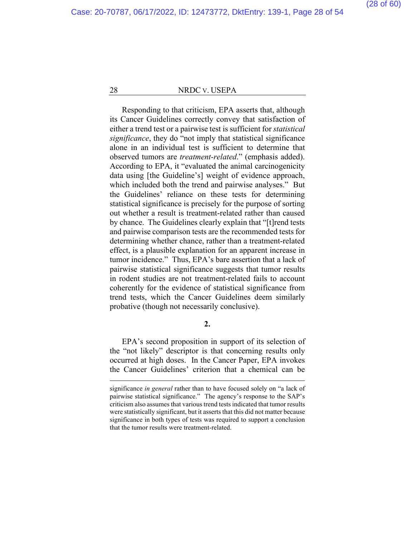Responding to that criticism, EPA asserts that, although its Cancer Guidelines correctly convey that satisfaction of either a trend test or a pairwise test is sufficient for *statistical significance*, they do "not imply that statistical significance alone in an individual test is sufficient to determine that observed tumors are *treatment-related*." (emphasis added). According to EPA, it "evaluated the animal carcinogenicity data using [the Guideline's] weight of evidence approach, which included both the trend and pairwise analyses." But the Guidelines' reliance on these tests for determining statistical significance is precisely for the purpose of sorting out whether a result is treatment-related rather than caused by chance. The Guidelines clearly explain that "[t]rend tests and pairwise comparison tests are the recommended tests for determining whether chance, rather than a treatment-related effect, is a plausible explanation for an apparent increase in tumor incidence." Thus, EPA's bare assertion that a lack of pairwise statistical significance suggests that tumor results in rodent studies are not treatment-related fails to account coherently for the evidence of statistical significance from trend tests, which the Cancer Guidelines deem similarly probative (though not necessarily conclusive).

**2.**

EPA's second proposition in support of its selection of the "not likely" descriptor is that concerning results only occurred at high doses. In the Cancer Paper, EPA invokes the Cancer Guidelines' criterion that a chemical can be

significance *in general* rather than to have focused solely on "a lack of pairwise statistical significance." The agency's response to the SAP's criticism also assumes that various trend tests indicated that tumor results were statistically significant, but it asserts that this did not matter because significance in both types of tests was required to support a conclusion that the tumor results were treatment-related.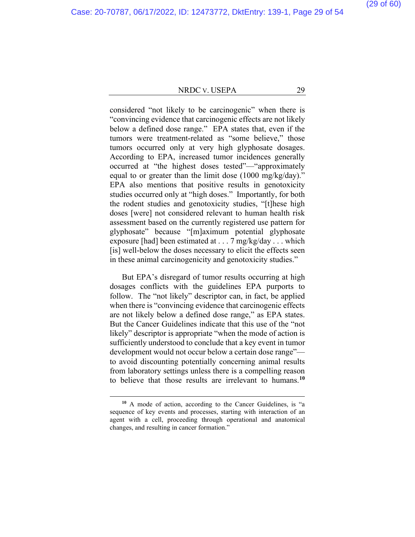considered "not likely to be carcinogenic" when there is "convincing evidence that carcinogenic effects are not likely below a defined dose range." EPA states that, even if the tumors were treatment-related as "some believe," those tumors occurred only at very high glyphosate dosages. According to EPA, increased tumor incidences generally occurred at "the highest doses tested"—"approximately equal to or greater than the limit dose (1000 mg/kg/day)." EPA also mentions that positive results in genotoxicity studies occurred only at "high doses." Importantly, for both the rodent studies and genotoxicity studies, "[t]hese high doses [were] not considered relevant to human health risk assessment based on the currently registered use pattern for glyphosate" because "[m]aximum potential glyphosate exposure [had] been estimated at . . . 7 mg/kg/day . . . which [is] well-below the doses necessary to elicit the effects seen in these animal carcinogenicity and genotoxicity studies."

But EPA's disregard of tumor results occurring at high dosages conflicts with the guidelines EPA purports to follow. The "not likely" descriptor can, in fact, be applied when there is "convincing evidence that carcinogenic effects are not likely below a defined dose range," as EPA states. But the Cancer Guidelines indicate that this use of the "not likely" descriptor is appropriate "when the mode of action is sufficiently understood to conclude that a key event in tumor development would not occur below a certain dose range" to avoid discounting potentially concerning animal results from laboratory settings unless there is a compelling reason to believe that those results are irrelevant to humans.**[10](#page-52-0)**

**<sup>10</sup>** A mode of action, according to the Cancer Guidelines, is "a sequence of key events and processes, starting with interaction of an agent with a cell, proceeding through operational and anatomical changes, and resulting in cancer formation."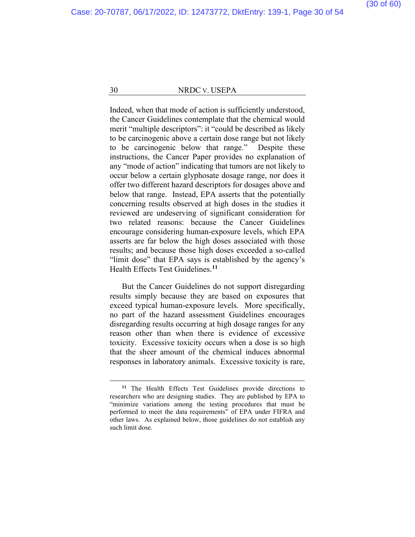Indeed, when that mode of action is sufficiently understood, the Cancer Guidelines contemplate that the chemical would merit "multiple descriptors": it "could be described as likely to be carcinogenic above a certain dose range but not likely to be carcinogenic below that range." Despite these instructions, the Cancer Paper provides no explanation of any "mode of action" indicating that tumors are not likely to occur below a certain glyphosate dosage range, nor does it offer two different hazard descriptors for dosages above and below that range. Instead, EPA asserts that the potentially concerning results observed at high doses in the studies it reviewed are undeserving of significant consideration for two related reasons: because the Cancer Guidelines encourage considering human-exposure levels, which EPA asserts are far below the high doses associated with those results; and because those high doses exceeded a so-called "limit dose" that EPA says is established by the agency's Health Effects Test Guidelines.**[11](#page-52-0)**

But the Cancer Guidelines do not support disregarding results simply because they are based on exposures that exceed typical human-exposure levels. More specifically, no part of the hazard assessment Guidelines encourages disregarding results occurring at high dosage ranges for any reason other than when there is evidence of excessive toxicity. Excessive toxicity occurs when a dose is so high that the sheer amount of the chemical induces abnormal responses in laboratory animals. Excessive toxicity is rare,

**<sup>11</sup>** The Health Effects Test Guidelines provide directions to researchers who are designing studies. They are published by EPA to "minimize variations among the testing procedures that must be performed to meet the data requirements" of EPA under FIFRA and other laws. As explained below, those guidelines do not establish any such limit dose.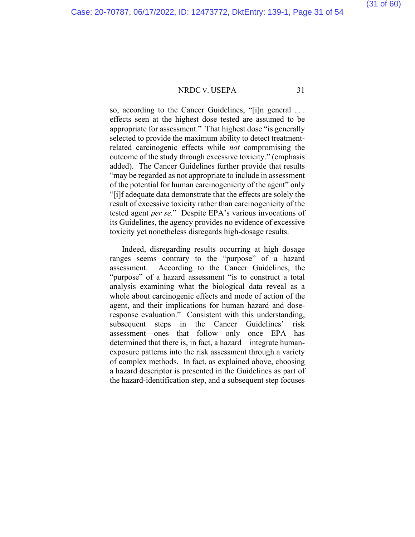#### (31 of 60)

#### NRDC V. USEPA 31

so, according to the Cancer Guidelines, "[i]n general . . . effects seen at the highest dose tested are assumed to be appropriate for assessment." That highest dose "is generally selected to provide the maximum ability to detect treatmentrelated carcinogenic effects while *not* compromising the outcome of the study through excessive toxicity." (emphasis added).The Cancer Guidelines further provide that results "may be regarded as not appropriate to include in assessment of the potential for human carcinogenicity of the agent" only "[i]f adequate data demonstrate that the effects are solely the result of excessive toxicity rather than carcinogenicity of the tested agent *per se.*"Despite EPA's various invocations of its Guidelines, the agency provides no evidence of excessive toxicity yet nonetheless disregards high-dosage results.

Indeed, disregarding results occurring at high dosage ranges seems contrary to the "purpose" of a hazard assessment. According to the Cancer Guidelines, the "purpose" of a hazard assessment "is to construct a total analysis examining what the biological data reveal as a whole about carcinogenic effects and mode of action of the agent, and their implications for human hazard and doseresponse evaluation." Consistent with this understanding, subsequent steps in the Cancer Guidelines' risk assessment—ones that follow only once EPA has determined that there is, in fact, a hazard—integrate humanexposure patterns into the risk assessment through a variety of complex methods. In fact, as explained above, choosing a hazard descriptor is presented in the Guidelines as part of the hazard-identification step, and a subsequent step focuses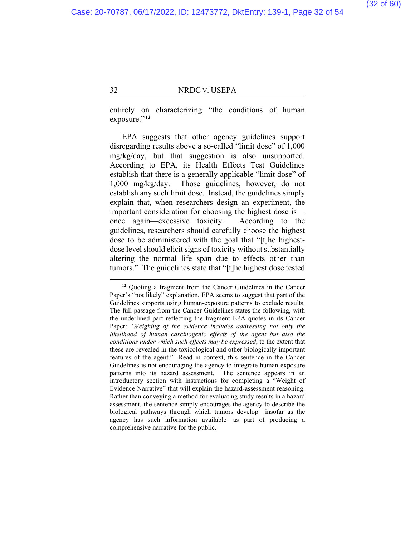entirely on characterizing "the conditions of human exposure."<sup>[12](#page-52-0)</sup>

EPA suggests that other agency guidelines support disregarding results above a so-called "limit dose" of 1,000 mg/kg/day, but that suggestion is also unsupported. According to EPA, its Health Effects Test Guidelines establish that there is a generally applicable "limit dose" of 1,000 mg/kg/day. Those guidelines, however, do not establish any such limit dose. Instead, the guidelines simply explain that, when researchers design an experiment, the important consideration for choosing the highest dose is once again—excessive toxicity. According to the guidelines, researchers should carefully choose the highest dose to be administered with the goal that "[t]he highestdose level should elicit signs of toxicity without substantially altering the normal life span due to effects other than tumors." The guidelines state that "[t]he highest dose tested

**<sup>12</sup>** Quoting a fragment from the Cancer Guidelines in the Cancer Paper's "not likely" explanation, EPA seems to suggest that part of the Guidelines supports using human-exposure patterns to exclude results. The full passage from the Cancer Guidelines states the following, with the underlined part reflecting the fragment EPA quotes in its Cancer Paper: "*Weighing of the evidence includes addressing not only the likelihood of human carcinogenic effects of the agent but also the conditions under which such effects may be expressed*, to the extent that these are revealed in the toxicological and other biologically important features of the agent." Read in context, this sentence in the Cancer Guidelines is not encouraging the agency to integrate human-exposure patterns into its hazard assessment. The sentence appears in an introductory section with instructions for completing a "Weight of Evidence Narrative" that will explain the hazard-assessment reasoning. Rather than conveying a method for evaluating study results in a hazard assessment, the sentence simply encourages the agency to describe the biological pathways through which tumors develop—insofar as the agency has such information available—as part of producing a comprehensive narrative for the public.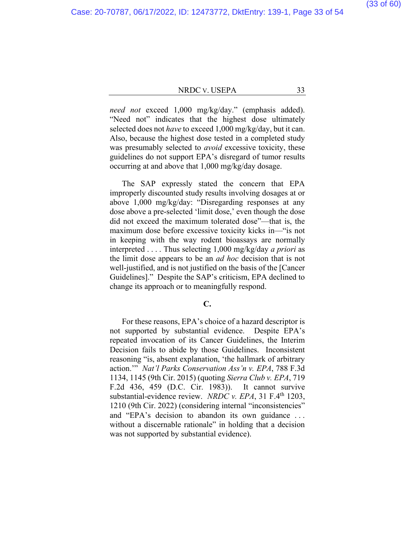(33 of 60)

#### NRDC V. USEPA 33

*need not* exceed 1,000 mg/kg/day." (emphasis added). "Need not" indicates that the highest dose ultimately selected does not *have* to exceed 1,000 mg/kg/day, but it can. Also, because the highest dose tested in a completed study was presumably selected to *avoid* excessive toxicity, these guidelines do not support EPA's disregard of tumor results occurring at and above that 1,000 mg/kg/day dosage.

The SAP expressly stated the concern that EPA improperly discounted study results involving dosages at or above 1,000 mg/kg/day: "Disregarding responses at any dose above a pre-selected 'limit dose,' even though the dose did not exceed the maximum tolerated dose"—that is, the maximum dose before excessive toxicity kicks in—"is not in keeping with the way rodent bioassays are normally interpreted . . . . Thus selecting 1,000 mg/kg/day *a priori* as the limit dose appears to be an *ad hoc* decision that is not well-justified, and is not justified on the basis of the [Cancer Guidelines]." Despite the SAP's criticism, EPA declined to change its approach or to meaningfully respond.

#### **C.**

For these reasons, EPA's choice of a hazard descriptor is not supported by substantial evidence. Despite EPA's repeated invocation of its Cancer Guidelines, the Interim Decision fails to abide by those Guidelines. Inconsistent reasoning "is, absent explanation, 'the hallmark of arbitrary action.'" *Nat'l Parks Conservation Ass'n v. EPA*, 788 F.3d 1134, 1145 (9th Cir. 2015) (quoting *Sierra Club v. EPA*, 719 F.2d 436, 459 (D.C. Cir. 1983)). It cannot survive substantial-evidence review. *NRDC v. EPA*, 31 F.4<sup>th</sup> 1203, 1210 (9th Cir. 2022) (considering internal "inconsistencies" and "EPA's decision to abandon its own guidance . . . without a discernable rationale" in holding that a decision was not supported by substantial evidence).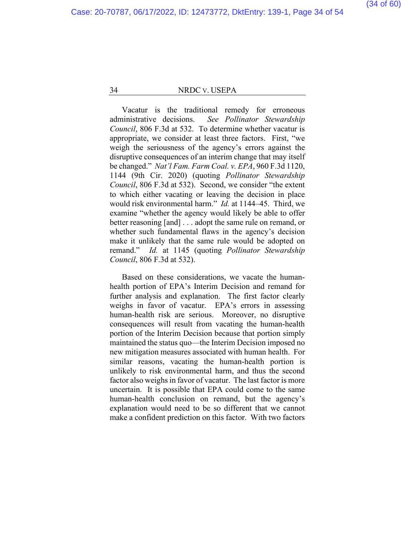Vacatur is the traditional remedy for erroneous administrative decisions. *See Pollinator Stewardship Council*, 806 F.3d at 532. To determine whether vacatur is appropriate, we consider at least three factors. First, "we weigh the seriousness of the agency's errors against the disruptive consequences of an interim change that may itself be changed." *Nat'l Fam. Farm Coal. v. EPA*, 960 F.3d 1120, 1144 (9th Cir. 2020) (quoting *Pollinator Stewardship Council*, 806 F.3d at 532). Second, we consider "the extent to which either vacating or leaving the decision in place would risk environmental harm." *Id.* at 1144–45. Third, we examine "whether the agency would likely be able to offer better reasoning [and] . . . adopt the same rule on remand, or whether such fundamental flaws in the agency's decision make it unlikely that the same rule would be adopted on remand." *Id.* at 1145 (quoting *Pollinator Stewardship Council*, 806 F.3d at 532).

Based on these considerations, we vacate the humanhealth portion of EPA's Interim Decision and remand for further analysis and explanation. The first factor clearly weighs in favor of vacatur. EPA's errors in assessing human-health risk are serious. Moreover, no disruptive consequences will result from vacating the human-health portion of the Interim Decision because that portion simply maintained the status quo—the Interim Decision imposed no new mitigation measures associated with human health. For similar reasons, vacating the human-health portion is unlikely to risk environmental harm, and thus the second factor also weighs in favor of vacatur. The last factor is more uncertain. It is possible that EPA could come to the same human-health conclusion on remand, but the agency's explanation would need to be so different that we cannot make a confident prediction on this factor. With two factors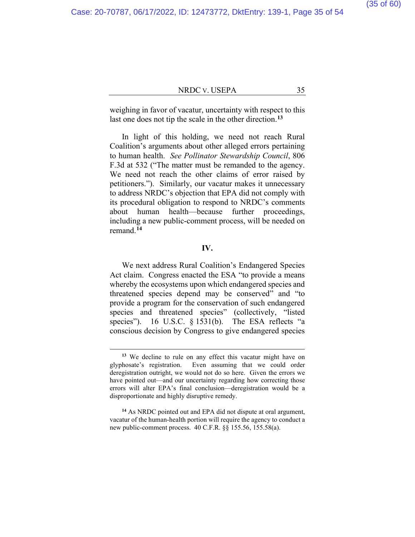weighing in favor of vacatur, uncertainty with respect to this last one does not tip the scale in the other direction.**[13](#page-52-0)**

In light of this holding, we need not reach Rural Coalition's arguments about other alleged errors pertaining to human health. *See Pollinator Stewardship Council*, 806 F.3d at 532 ("The matter must be remanded to the agency. We need not reach the other claims of error raised by petitioners."). Similarly, our vacatur makes it unnecessary to address NRDC's objection that EPA did not comply with its procedural obligation to respond to NRDC's comments about human health—because further proceedings, including a new public-comment process, will be needed on remand.**[14](#page-52-0)**

#### **IV.**

We next address Rural Coalition's Endangered Species Act claim. Congress enacted the ESA "to provide a means whereby the ecosystems upon which endangered species and threatened species depend may be conserved" and "to provide a program for the conservation of such endangered species and threatened species" (collectively, "listed species"). 16 U.S.C. § 1531(b). The ESA reflects "a conscious decision by Congress to give endangered species

**<sup>13</sup>** We decline to rule on any effect this vacatur might have on glyphosate's registration. Even assuming that we could order deregistration outright, we would not do so here. Given the errors we have pointed out—and our uncertainty regarding how correcting those errors will alter EPA's final conclusion—deregistration would be a disproportionate and highly disruptive remedy.

**<sup>14</sup>** As NRDC pointed out and EPA did not dispute at oral argument, vacatur of the human-health portion will require the agency to conduct a new public-comment process. 40 C.F.R. §§ 155.56, 155.58(a).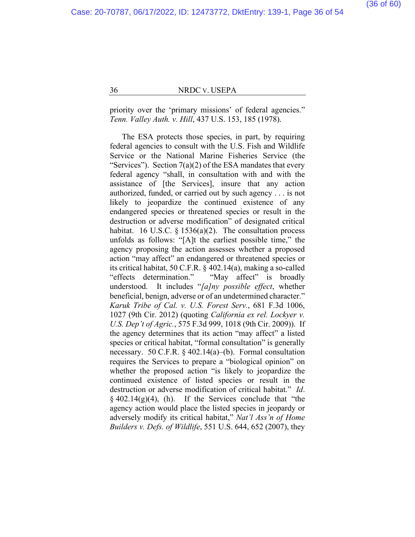priority over the 'primary missions' of federal agencies." *Tenn. Valley Auth. v. Hill*, 437 U.S. 153, 185 (1978).

The ESA protects those species, in part, by requiring federal agencies to consult with the U.S. Fish and Wildlife Service or the National Marine Fisheries Service (the "Services"). Section  $7(a)(2)$  of the ESA mandates that every federal agency "shall, in consultation with and with the assistance of [the Services], insure that any action authorized, funded, or carried out by such agency . . . is not likely to jeopardize the continued existence of any endangered species or threatened species or result in the destruction or adverse modification" of designated critical habitat. 16 U.S.C.  $\S$  1536(a)(2). The consultation process unfolds as follows: "[A]t the earliest possible time," the agency proposing the action assesses whether a proposed action "may affect" an endangered or threatened species or its critical habitat, 50 C.F.R. § 402.14(a), making a so-called "effects determination." "May affect" is broadly understood. It includes "*[a]ny possible effect*, whether beneficial, benign, adverse or of an undetermined character." *Karuk Tribe of Cal. v. U.S. Forest Serv.*, 681 F.3d 1006, 1027 (9th Cir. 2012) (quoting *California ex rel. Lockyer v. U.S. Dep't of Agric.*, 575 F.3d 999, 1018 (9th Cir. 2009)). If the agency determines that its action "may affect" a listed species or critical habitat, "formal consultation" is generally necessary. 50 C.F.R. § 402.14(a)–(b). Formal consultation requires the Services to prepare a "biological opinion" on whether the proposed action "is likely to jeopardize the continued existence of listed species or result in the destruction or adverse modification of critical habitat." *Id*.  $§$  402.14(g)(4), (h). If the Services conclude that "the agency action would place the listed species in jeopardy or adversely modify its critical habitat," *Nat'l Ass'n of Home Builders v. Defs. of Wildlife*, 551 U.S. 644, 652 (2007), they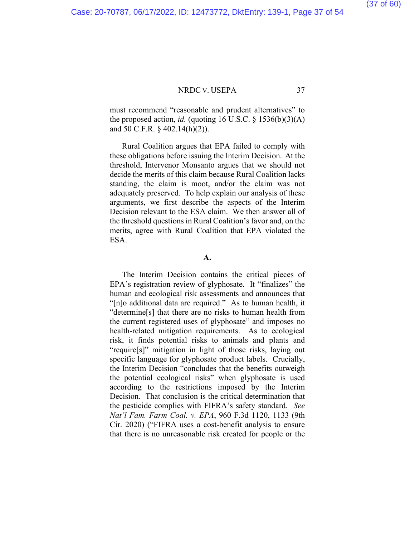must recommend "reasonable and prudent alternatives" to the proposed action, *id.* (quoting 16 U.S.C.  $\S$  1536(b)(3)(A) and 50 C.F.R. § 402.14(h)(2)).

Rural Coalition argues that EPA failed to comply with these obligations before issuing the Interim Decision. At the threshold, Intervenor Monsanto argues that we should not decide the merits of this claim because Rural Coalition lacks standing, the claim is moot, and/or the claim was not adequately preserved. To help explain our analysis of these arguments, we first describe the aspects of the Interim Decision relevant to the ESA claim. We then answer all of the threshold questions in Rural Coalition's favor and, on the merits, agree with Rural Coalition that EPA violated the ESA.

**A.**

The Interim Decision contains the critical pieces of EPA's registration review of glyphosate. It "finalizes" the human and ecological risk assessments and announces that "[n]o additional data are required."As to human health, it "determine[s] that there are no risks to human health from the current registered uses of glyphosate" and imposes no health-related mitigation requirements. As to ecological risk, it finds potential risks to animals and plants and "require[s]" mitigation in light of those risks, laying out specific language for glyphosate product labels. Crucially, the Interim Decision "concludes that the benefits outweigh the potential ecological risks" when glyphosate is used according to the restrictions imposed by the Interim Decision. That conclusion is the critical determination that the pesticide complies with FIFRA's safety standard. *See Nat'l Fam. Farm Coal. v. EPA*, 960 F.3d 1120, 1133 (9th Cir. 2020) ("FIFRA uses a cost-benefit analysis to ensure that there is no unreasonable risk created for people or the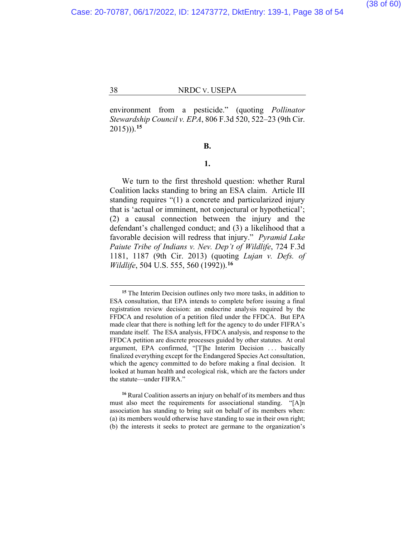environment from a pesticide." (quoting *Pollinator Stewardship Council v. EPA*, 806 F.3d 520, 522–23 (9th Cir. 2015))).**[15](#page-52-0)**

#### **B.**

#### **1.**

We turn to the first threshold question: whether Rural Coalition lacks standing to bring an ESA claim. Article III standing requires "(1) a concrete and particularized injury that is 'actual or imminent, not conjectural or hypothetical'; (2) a causal connection between the injury and the defendant's challenged conduct; and (3) a likelihood that a favorable decision will redress that injury." *Pyramid Lake Paiute Tribe of Indians v. Nev. Dep't of Wildlife*, 724 F.3d 1181, 1187 (9th Cir. 2013) (quoting *Lujan v. Defs. of Wildlife*, 504 U.S. 555, 560 (1992)).**[16](#page-52-0)**

**<sup>15</sup>** The Interim Decision outlines only two more tasks, in addition to ESA consultation, that EPA intends to complete before issuing a final registration review decision: an endocrine analysis required by the FFDCA and resolution of a petition filed under the FFDCA. But EPA made clear that there is nothing left for the agency to do under FIFRA's mandate itself. The ESA analysis, FFDCA analysis, and response to the FFDCA petition are discrete processes guided by other statutes. At oral argument, EPA confirmed, "[T]he Interim Decision ... basically finalized everything except for the Endangered Species Act consultation, which the agency committed to do before making a final decision. It looked at human health and ecological risk, which are the factors under the statute—under FIFRA."

**<sup>16</sup>** Rural Coalition asserts an injury on behalf of its members and thus must also meet the requirements for associational standing. "[A]n association has standing to bring suit on behalf of its members when: (a) its members would otherwise have standing to sue in their own right; (b) the interests it seeks to protect are germane to the organization's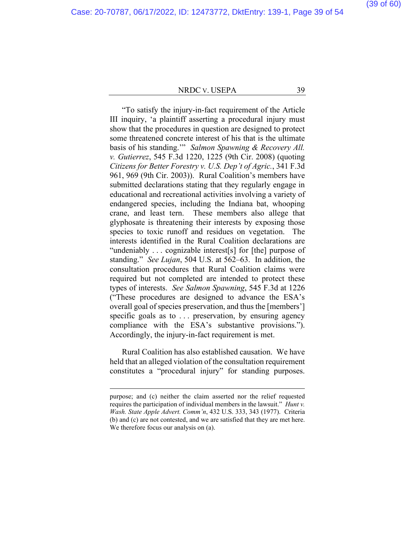"To satisfy the injury-in-fact requirement of the Article III inquiry, 'a plaintiff asserting a procedural injury must show that the procedures in question are designed to protect some threatened concrete interest of his that is the ultimate basis of his standing.'" *Salmon Spawning & Recovery All. v. Gutierrez*, 545 F.3d 1220, 1225 (9th Cir. 2008) (quoting *Citizens for Better Forestry v. U.S. Dep't of Agric.*, 341 F.3d 961, 969 (9th Cir. 2003)). Rural Coalition's members have submitted declarations stating that they regularly engage in educational and recreational activities involving a variety of endangered species, including the Indiana bat, whooping crane, and least tern. These members also allege that glyphosate is threatening their interests by exposing those species to toxic runoff and residues on vegetation. The interests identified in the Rural Coalition declarations are "undeniably . . . cognizable interest[s] for [the] purpose of standing." *See Lujan*, 504 U.S. at 562–63. In addition, the consultation procedures that Rural Coalition claims were required but not completed are intended to protect these types of interests. *See Salmon Spawning*, 545 F.3d at 1226 ("These procedures are designed to advance the ESA's overall goal of species preservation, and thus the [members'] specific goals as to ... preservation, by ensuring agency compliance with the ESA's substantive provisions."). Accordingly, the injury-in-fact requirement is met.

Rural Coalition has also established causation. We have held that an alleged violation of the consultation requirement constitutes a "procedural injury" for standing purposes.

purpose; and (c) neither the claim asserted nor the relief requested requires the participation of individual members in the lawsuit." *Hunt v. Wash. State Apple Advert. Comm'n*, 432 U.S. 333, 343 (1977). Criteria (b) and (c) are not contested, and we are satisfied that they are met here. We therefore focus our analysis on (a).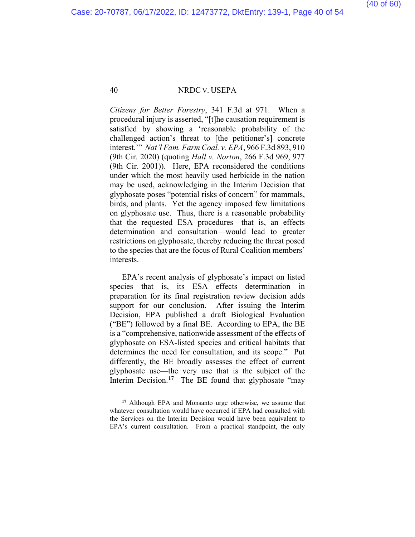*Citizens for Better Forestry*, 341 F.3d at 971. When a procedural injury is asserted, "[t]he causation requirement is satisfied by showing a 'reasonable probability of the challenged action's threat to [the petitioner's] concrete interest.'" *Nat'l Fam. Farm Coal. v. EPA*, 966 F.3d 893, 910 (9th Cir. 2020) (quoting *Hall v. Norton*, 266 F.3d 969, 977 (9th Cir. 2001)). Here, EPA reconsidered the conditions under which the most heavily used herbicide in the nation may be used, acknowledging in the Interim Decision that glyphosate poses "potential risks of concern" for mammals, birds, and plants. Yet the agency imposed few limitations on glyphosate use. Thus, there is a reasonable probability that the requested ESA procedures—that is, an effects determination and consultation—would lead to greater restrictions on glyphosate, thereby reducing the threat posed to the species that are the focus of Rural Coalition members' interests.

EPA's recent analysis of glyphosate's impact on listed species—that is, its ESA effects determination—in preparation for its final registration review decision adds support for our conclusion. After issuing the Interim Decision, EPA published a draft Biological Evaluation ("BE") followed by a final BE. According to EPA, the BE is a "comprehensive, nationwide assessment of the effects of glyphosate on ESA-listed species and critical habitats that determines the need for consultation, and its scope." Put differently, the BE broadly assesses the effect of current glyphosate use—the very use that is the subject of the Interim Decision.<sup>[17](#page-52-0)</sup> The BE found that glyphosate "may

**<sup>17</sup>** Although EPA and Monsanto urge otherwise, we assume that whatever consultation would have occurred if EPA had consulted with the Services on the Interim Decision would have been equivalent to EPA's current consultation. From a practical standpoint, the only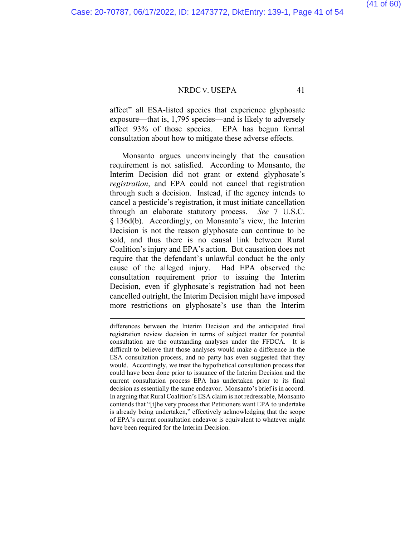(41 of 60)

#### NRDC V. USEPA 41

affect" all ESA-listed species that experience glyphosate exposure—that is, 1,795 species—and is likely to adversely affect 93% of those species. EPA has begun formal consultation about how to mitigate these adverse effects.

Monsanto argues unconvincingly that the causation requirement is not satisfied. According to Monsanto, the Interim Decision did not grant or extend glyphosate's *registration*, and EPA could not cancel that registration through such a decision. Instead, if the agency intends to cancel a pesticide's registration, it must initiate cancellation through an elaborate statutory process. *See* 7 U.S.C. § 136d(b). Accordingly, on Monsanto's view, the Interim Decision is not the reason glyphosate can continue to be sold, and thus there is no causal link between Rural Coalition's injury and EPA's action. But causation does not require that the defendant's unlawful conduct be the only cause of the alleged injury. Had EPA observed the consultation requirement prior to issuing the Interim Decision, even if glyphosate's registration had not been cancelled outright, the Interim Decision might have imposed more restrictions on glyphosate's use than the Interim

differences between the Interim Decision and the anticipated final registration review decision in terms of subject matter for potential consultation are the outstanding analyses under the FFDCA. It is difficult to believe that those analyses would make a difference in the ESA consultation process, and no party has even suggested that they would. Accordingly, we treat the hypothetical consultation process that could have been done prior to issuance of the Interim Decision and the current consultation process EPA has undertaken prior to its final decision as essentially the same endeavor. Monsanto's brief is in accord. In arguing that Rural Coalition's ESA claim is not redressable, Monsanto contends that "[t]he very process that Petitioners want EPA to undertake is already being undertaken," effectively acknowledging that the scope of EPA's current consultation endeavor is equivalent to whatever might have been required for the Interim Decision.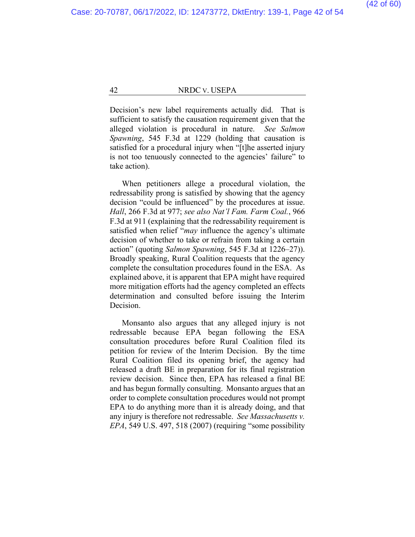Decision's new label requirements actually did. That is sufficient to satisfy the causation requirement given that the alleged violation is procedural in nature. *See Salmon Spawning*, 545 F.3d at 1229 (holding that causation is satisfied for a procedural injury when "[t]he asserted injury is not too tenuously connected to the agencies' failure" to take action).

When petitioners allege a procedural violation, the redressability prong is satisfied by showing that the agency decision "could be influenced" by the procedures at issue. *Hall*, 266 F.3d at 977; *see also Nat'l Fam. Farm Coal.*, 966 F.3d at 911 (explaining that the redressability requirement is satisfied when relief "*may* influence the agency's ultimate decision of whether to take or refrain from taking a certain action" (quoting *Salmon Spawning*, 545 F.3d at 1226–27)). Broadly speaking, Rural Coalition requests that the agency complete the consultation procedures found in the ESA. As explained above, it is apparent that EPA might have required more mitigation efforts had the agency completed an effects determination and consulted before issuing the Interim Decision.

Monsanto also argues that any alleged injury is not redressable because EPA began following the ESA consultation procedures before Rural Coalition filed its petition for review of the Interim Decision. By the time Rural Coalition filed its opening brief, the agency had released a draft BE in preparation for its final registration review decision. Since then, EPA has released a final BE and has begun formally consulting. Monsanto argues that an order to complete consultation procedures would not prompt EPA to do anything more than it is already doing, and that any injury is therefore not redressable. *See Massachusetts v. EPA*, 549 U.S. 497, 518 (2007) (requiring "some possibility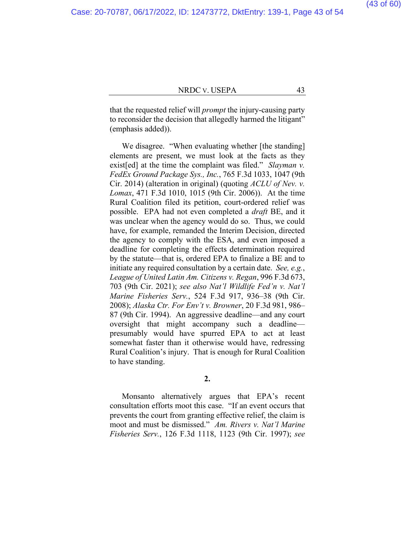that the requested relief will *prompt* the injury-causing party to reconsider the decision that allegedly harmed the litigant" (emphasis added)).

We disagree. "When evaluating whether [the standing] elements are present, we must look at the facts as they exist[ed] at the time the complaint was filed." *Slayman v. FedEx Ground Package Sys., Inc.*, 765 F.3d 1033, 1047 (9th Cir. 2014) (alteration in original) (quoting *ACLU of Nev. v. Lomax*, 471 F.3d 1010, 1015 (9th Cir. 2006)). At the time Rural Coalition filed its petition, court-ordered relief was possible. EPA had not even completed a *draft* BE, and it was unclear when the agency would do so. Thus, we could have, for example, remanded the Interim Decision, directed the agency to comply with the ESA, and even imposed a deadline for completing the effects determination required by the statute—that is, ordered EPA to finalize a BE and to initiate any required consultation by a certain date. *See, e.g.*, *League of United Latin Am. Citizens v. Regan*, 996 F.3d 673, 703 (9th Cir. 2021); *see also Nat'l Wildlife Fed'n v. Nat'l Marine Fisheries Serv.*, 524 F.3d 917, 936–38 (9th Cir. 2008); *Alaska Ctr. For Env't v. Browner*, 20 F.3d 981, 986– 87 (9th Cir. 1994). An aggressive deadline—and any court oversight that might accompany such a deadline presumably would have spurred EPA to act at least somewhat faster than it otherwise would have, redressing Rural Coalition's injury. That is enough for Rural Coalition to have standing.

**2.**

Monsanto alternatively argues that EPA's recent consultation efforts moot this case. "If an event occurs that prevents the court from granting effective relief, the claim is moot and must be dismissed." *Am. Rivers v. Nat'l Marine Fisheries Serv.*, 126 F.3d 1118, 1123 (9th Cir. 1997); *see*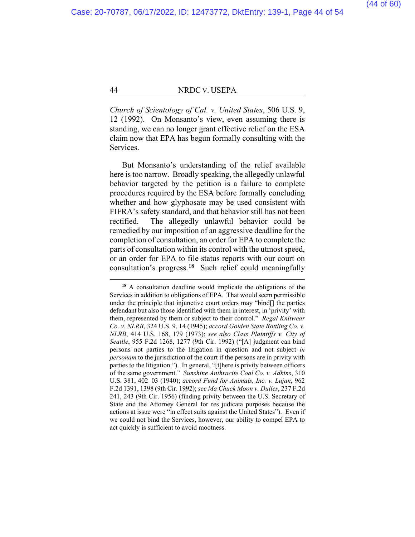*Church of Scientology of Cal. v. United States*, 506 U.S. 9, 12 (1992). On Monsanto's view, even assuming there is standing, we can no longer grant effective relief on the ESA claim now that EPA has begun formally consulting with the Services.

But Monsanto's understanding of the relief available here is too narrow. Broadly speaking, the allegedly unlawful behavior targeted by the petition is a failure to complete procedures required by the ESA before formally concluding whether and how glyphosate may be used consistent with FIFRA's safety standard, and that behavior still has not been rectified. The allegedly unlawful behavior could be remedied by our imposition of an aggressive deadline for the completion of consultation, an order for EPA to complete the parts of consultation within its control with the utmost speed, or an order for EPA to file status reports with our court on consultation's progress.**[18](#page-52-0)** Such relief could meaningfully

**<sup>18</sup>** A consultation deadline would implicate the obligations of the Services in addition to obligations of EPA. That would seem permissible under the principle that injunctive court orders may "bind[] the parties defendant but also those identified with them in interest, in 'privity' with them, represented by them or subject to their control." *Regal Knitwear Co. v. NLRB*, 324 U.S. 9, 14 (1945); *accord Golden State Bottling Co. v. NLRB*, 414 U.S. 168, 179 (1973); *see also Class Plaintiffs v. City of Seattle*, 955 F.2d 1268, 1277 (9th Cir. 1992) ("[A] judgment can bind persons not parties to the litigation in question and not subject *in personam* to the jurisdiction of the court if the persons are in privity with parties to the litigation."). In general, "[t]here is privity between officers of the same government." *Sunshine Anthracite Coal Co. v. Adkins*, 310 U.S. 381, 402–03 (1940); *accord Fund for Animals, Inc. v. Lujan*, 962 F.2d 1391, 1398 (9th Cir. 1992); *see Ma Chuck Moon v. Dulles*, 237 F.2d 241, 243 (9th Cir. 1956) (finding privity between the U.S. Secretary of State and the Attorney General for res judicata purposes because the actions at issue were "in effect suits against the United States"). Even if we could not bind the Services, however, our ability to compel EPA to act quickly is sufficient to avoid mootness.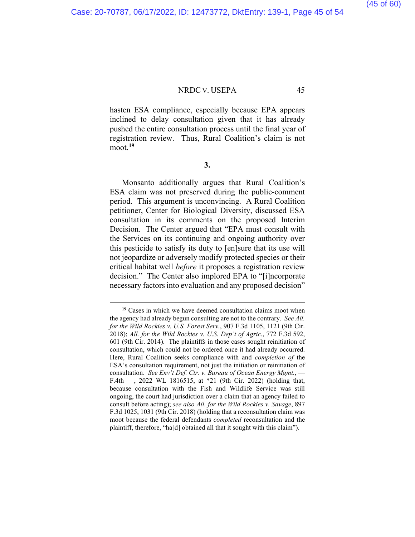(45 of 60)

#### NRDC v. USEPA 45

hasten ESA compliance, especially because EPA appears inclined to delay consultation given that it has already pushed the entire consultation process until the final year of registration review. Thus, Rural Coalition's claim is not moot.**[19](#page-52-0)**

**3.**

Monsanto additionally argues that Rural Coalition's ESA claim was not preserved during the public-comment period. This argument is unconvincing. A Rural Coalition petitioner, Center for Biological Diversity, discussed ESA consultation in its comments on the proposed Interim Decision. The Center argued that "EPA must consult with the Services on its continuing and ongoing authority over this pesticide to satisfy its duty to [en]sure that its use will not jeopardize or adversely modify protected species or their critical habitat well *before* it proposes a registration review decision." The Center also implored EPA to "[i]ncorporate necessary factors into evaluation and any proposed decision"

**<sup>19</sup>** Cases in which we have deemed consultation claims moot when the agency had already begun consulting are not to the contrary. *See All. for the Wild Rockies v. U.S. Forest Serv.*, 907 F.3d 1105, 1121 (9th Cir. 2018); *All. for the Wild Rockies v. U.S. Dep't of Agric.*, 772 F.3d 592, 601 (9th Cir. 2014). The plaintiffs in those cases sought reinitiation of consultation, which could not be ordered once it had already occurred. Here, Rural Coalition seeks compliance with and *completion of* the ESA's consultation requirement, not just the initiation or reinitiation of consultation. *See Env't Def. Ctr. v. Bureau of Ocean Energy Mgmt.*, — F.4th —, 2022 WL 1816515, at \*21 (9th Cir. 2022) (holding that, because consultation with the Fish and Wildlife Service was still ongoing, the court had jurisdiction over a claim that an agency failed to consult before acting); *see also All. for the Wild Rockies v. Savage*, 897 F.3d 1025, 1031 (9th Cir. 2018) (holding that a reconsultation claim was moot because the federal defendants *completed* reconsultation and the plaintiff, therefore, "ha[d] obtained all that it sought with this claim").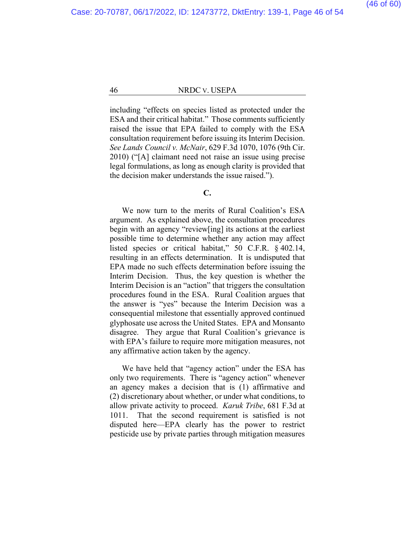including "effects on species listed as protected under the ESA and their critical habitat." Those comments sufficiently raised the issue that EPA failed to comply with the ESA consultation requirement before issuing its Interim Decision. *See Lands Council v. McNair*, 629 F.3d 1070, 1076 (9th Cir. 2010) ("[A] claimant need not raise an issue using precise legal formulations, as long as enough clarity is provided that the decision maker understands the issue raised.").

#### **C.**

We now turn to the merits of Rural Coalition's ESA argument. As explained above, the consultation procedures begin with an agency "review[ing] its actions at the earliest possible time to determine whether any action may affect listed species or critical habitat," 50 C.F.R. § 402.14, resulting in an effects determination. It is undisputed that EPA made no such effects determination before issuing the Interim Decision. Thus, the key question is whether the Interim Decision is an "action" that triggers the consultation procedures found in the ESA. Rural Coalition argues that the answer is "yes" because the Interim Decision was a consequential milestone that essentially approved continued glyphosate use across the United States. EPA and Monsanto disagree. They argue that Rural Coalition's grievance is with EPA's failure to require more mitigation measures, not any affirmative action taken by the agency.

We have held that "agency action" under the ESA has only two requirements. There is "agency action" whenever an agency makes a decision that is (1) affirmative and (2) discretionary about whether, or under what conditions, to allow private activity to proceed. *Karuk Tribe*, 681 F.3d at 1011. That the second requirement is satisfied is not disputed here—EPA clearly has the power to restrict pesticide use by private parties through mitigation measures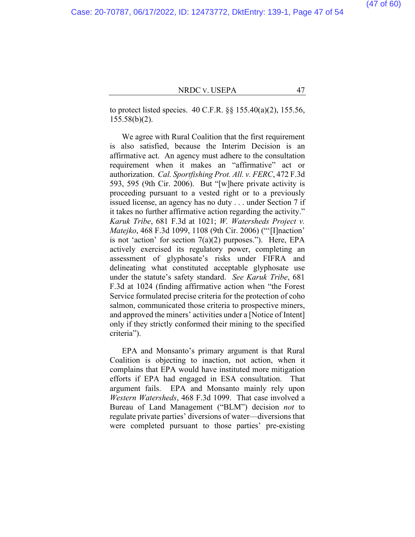to protect listed species. 40 C.F.R. §§ 155.40(a)(2), 155.56, 155.58(b)(2).

We agree with Rural Coalition that the first requirement is also satisfied, because the Interim Decision is an affirmative act. An agency must adhere to the consultation requirement when it makes an "affirmative" act or authorization. *Cal. Sportfishing Prot. All. v. FERC*, 472 F.3d 593, 595 (9th Cir. 2006). But "[w]here private activity is proceeding pursuant to a vested right or to a previously issued license, an agency has no duty . . . under Section 7 if it takes no further affirmative action regarding the activity." *Karuk Tribe*, 681 F.3d at 1021; *W. Watersheds Project v. Matejko*, 468 F.3d 1099, 1108 (9th Cir. 2006) ("'[I]naction' is not 'action' for section 7(a)(2) purposes."). Here, EPA actively exercised its regulatory power, completing an assessment of glyphosate's risks under FIFRA and delineating what constituted acceptable glyphosate use under the statute's safety standard. *See Karuk Tribe*, 681 F.3d at 1024 (finding affirmative action when "the Forest Service formulated precise criteria for the protection of coho salmon, communicated those criteria to prospective miners, and approved the miners' activities under a [Notice of Intent] only if they strictly conformed their mining to the specified criteria").

EPA and Monsanto's primary argument is that Rural Coalition is objecting to inaction, not action, when it complains that EPA would have instituted more mitigation efforts if EPA had engaged in ESA consultation. That argument fails. EPA and Monsanto mainly rely upon *Western Watersheds*, 468 F.3d 1099. That case involved a Bureau of Land Management ("BLM") decision *not* to regulate private parties' diversions of water—diversions that were completed pursuant to those parties' pre-existing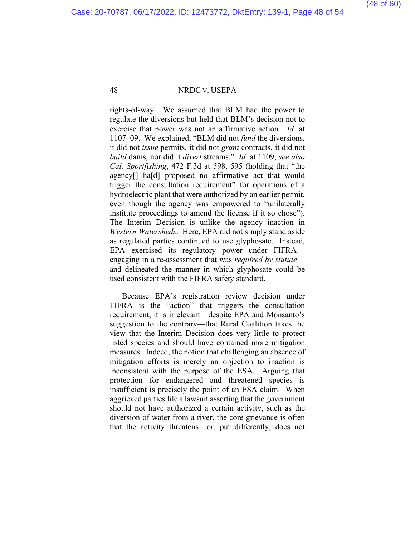rights-of-way. We assumed that BLM had the power to regulate the diversions but held that BLM's decision not to exercise that power was not an affirmative action. *Id.* at 1107–09. We explained, "BLM did not *fund* the diversions, it did not *issue* permits, it did not *grant* contracts, it did not *build* dams, nor did it *divert* streams." *Id.* at 1109; *see also Cal. Sportfishing*, 472 F.3d at 598, 595 (holding that "the agency[] ha[d] proposed no affirmative act that would trigger the consultation requirement" for operations of a hydroelectric plant that were authorized by an earlier permit, even though the agency was empowered to "unilaterally institute proceedings to amend the license if it so chose"). The Interim Decision is unlike the agency inaction in *Western Watersheds*. Here, EPA did not simply stand aside as regulated parties continued to use glyphosate. Instead, EPA exercised its regulatory power under FIFRA engaging in a re-assessment that was *required by statute* and delineated the manner in which glyphosate could be used consistent with the FIFRA safety standard.

Because EPA's registration review decision under FIFRA is the "action" that triggers the consultation requirement, it is irrelevant—despite EPA and Monsanto's suggestion to the contrary—that Rural Coalition takes the view that the Interim Decision does very little to protect listed species and should have contained more mitigation measures. Indeed, the notion that challenging an absence of mitigation efforts is merely an objection to inaction is inconsistent with the purpose of the ESA. Arguing that protection for endangered and threatened species is insufficient is precisely the point of an ESA claim. When aggrieved parties file a lawsuit asserting that the government should not have authorized a certain activity, such as the diversion of water from a river, the core grievance is often that the activity threatens—or, put differently, does not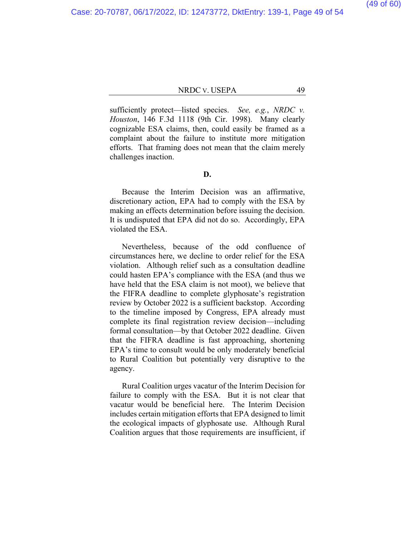sufficiently protect—listed species. *See, e.g.*, *NRDC v. Houston*, 146 F.3d 1118 (9th Cir. 1998). Many clearly cognizable ESA claims, then, could easily be framed as a complaint about the failure to institute more mitigation efforts. That framing does not mean that the claim merely challenges inaction.

#### **D.**

Because the Interim Decision was an affirmative, discretionary action, EPA had to comply with the ESA by making an effects determination before issuing the decision. It is undisputed that EPA did not do so. Accordingly, EPA violated the ESA.

Nevertheless, because of the odd confluence of circumstances here, we decline to order relief for the ESA violation. Although relief such as a consultation deadline could hasten EPA's compliance with the ESA (and thus we have held that the ESA claim is not moot), we believe that the FIFRA deadline to complete glyphosate's registration review by October 2022 is a sufficient backstop. According to the timeline imposed by Congress, EPA already must complete its final registration review decision—including formal consultation—by that October 2022 deadline. Given that the FIFRA deadline is fast approaching, shortening EPA's time to consult would be only moderately beneficial to Rural Coalition but potentially very disruptive to the agency.

Rural Coalition urges vacatur of the Interim Decision for failure to comply with the ESA. But it is not clear that vacatur would be beneficial here. The Interim Decision includes certain mitigation efforts that EPA designed to limit the ecological impacts of glyphosate use. Although Rural Coalition argues that those requirements are insufficient, if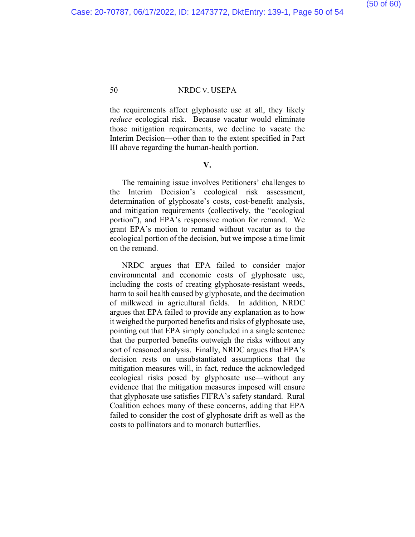the requirements affect glyphosate use at all, they likely *reduce* ecological risk. Because vacatur would eliminate those mitigation requirements, we decline to vacate the Interim Decision—other than to the extent specified in Part III above regarding the human-health portion.

#### **V.**

The remaining issue involves Petitioners' challenges to the Interim Decision's ecological risk assessment, determination of glyphosate's costs, cost-benefit analysis, and mitigation requirements (collectively, the "ecological portion"), and EPA's responsive motion for remand. We grant EPA's motion to remand without vacatur as to the ecological portion of the decision, but we impose a time limit on the remand.

NRDC argues that EPA failed to consider major environmental and economic costs of glyphosate use, including the costs of creating glyphosate-resistant weeds, harm to soil health caused by glyphosate, and the decimation of milkweed in agricultural fields. In addition, NRDC argues that EPA failed to provide any explanation as to how it weighed the purported benefits and risks of glyphosate use, pointing out that EPA simply concluded in a single sentence that the purported benefits outweigh the risks without any sort of reasoned analysis. Finally, NRDC argues that EPA's decision rests on unsubstantiated assumptions that the mitigation measures will, in fact, reduce the acknowledged ecological risks posed by glyphosate use—without any evidence that the mitigation measures imposed will ensure that glyphosate use satisfies FIFRA's safety standard. Rural Coalition echoes many of these concerns, adding that EPA failed to consider the cost of glyphosate drift as well as the costs to pollinators and to monarch butterflies.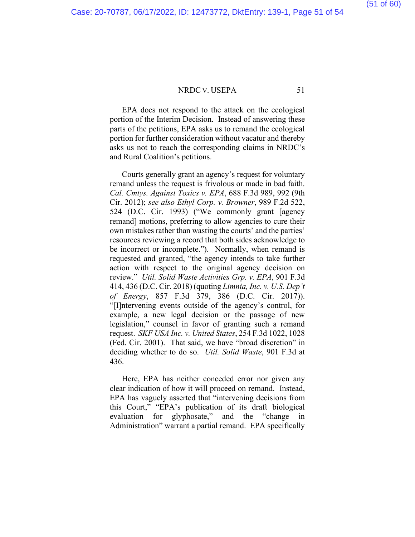(51 of 60)

#### NRDC v. USEPA 51

EPA does not respond to the attack on the ecological portion of the Interim Decision. Instead of answering these parts of the petitions, EPA asks us to remand the ecological portion for further consideration without vacatur and thereby asks us not to reach the corresponding claims in NRDC's and Rural Coalition's petitions.

Courts generally grant an agency's request for voluntary remand unless the request is frivolous or made in bad faith. *Cal. Cmtys. Against Toxics v. EPA*, 688 F.3d 989, 992 (9th Cir. 2012); *see also Ethyl Corp. v. Browner*, 989 F.2d 522, 524 (D.C. Cir. 1993) ("We commonly grant [agency remand] motions, preferring to allow agencies to cure their own mistakes rather than wasting the courts' and the parties' resources reviewing a record that both sides acknowledge to be incorrect or incomplete."). Normally, when remand is requested and granted, "the agency intends to take further action with respect to the original agency decision on review." *Util. Solid Waste Activities Grp. v. EPA*, 901 F.3d 414, 436 (D.C. Cir. 2018) (quoting *Limnia, Inc. v. U.S. Dep't of Energy*, 857 F.3d 379, 386 (D.C. Cir. 2017)). "[I]ntervening events outside of the agency's control, for example, a new legal decision or the passage of new legislation," counsel in favor of granting such a remand request. *SKF USA Inc. v. United States*, 254 F.3d 1022, 1028 (Fed. Cir. 2001). That said, we have "broad discretion" in deciding whether to do so. *Util. Solid Waste*, 901 F.3d at 436.

Here, EPA has neither conceded error nor given any clear indication of how it will proceed on remand. Instead, EPA has vaguely asserted that "intervening decisions from this Court," "EPA's publication of its draft biological evaluation for glyphosate," and the "change in Administration" warrant a partial remand. EPA specifically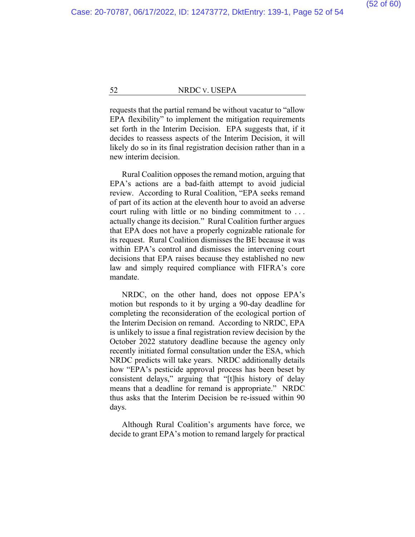requests that the partial remand be without vacatur to "allow EPA flexibility" to implement the mitigation requirements set forth in the Interim Decision. EPA suggests that, if it decides to reassess aspects of the Interim Decision, it will likely do so in its final registration decision rather than in a new interim decision.

Rural Coalition opposes the remand motion, arguing that EPA's actions are a bad-faith attempt to avoid judicial review. According to Rural Coalition, "EPA seeks remand of part of its action at the eleventh hour to avoid an adverse court ruling with little or no binding commitment to . . . actually change its decision." Rural Coalition further argues that EPA does not have a properly cognizable rationale for its request. Rural Coalition dismisses the BE because it was within EPA's control and dismisses the intervening court decisions that EPA raises because they established no new law and simply required compliance with FIFRA's core mandate.

NRDC, on the other hand, does not oppose EPA's motion but responds to it by urging a 90-day deadline for completing the reconsideration of the ecological portion of the Interim Decision on remand. According to NRDC, EPA is unlikely to issue a final registration review decision by the October 2022 statutory deadline because the agency only recently initiated formal consultation under the ESA, which NRDC predicts will take years. NRDC additionally details how "EPA's pesticide approval process has been beset by consistent delays," arguing that "[t]his history of delay means that a deadline for remand is appropriate." NRDC thus asks that the Interim Decision be re-issued within 90 days.

Although Rural Coalition's arguments have force, we decide to grant EPA's motion to remand largely for practical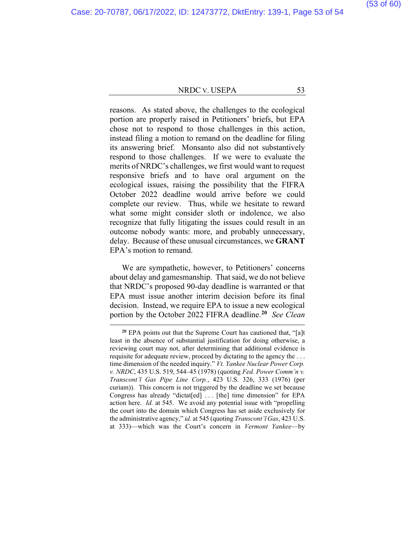#### (53 of 60)

#### NRDC v. USEPA 53

reasons. As stated above, the challenges to the ecological portion are properly raised in Petitioners' briefs, but EPA chose not to respond to those challenges in this action, instead filing a motion to remand on the deadline for filing its answering brief. Monsanto also did not substantively respond to those challenges. If we were to evaluate the merits of NRDC's challenges, we first would want to request responsive briefs and to have oral argument on the ecological issues, raising the possibility that the FIFRA October 2022 deadline would arrive before we could complete our review. Thus, while we hesitate to reward what some might consider sloth or indolence, we also recognize that fully litigating the issues could result in an outcome nobody wants: more, and probably unnecessary, delay. Because of these unusual circumstances, we **GRANT** EPA's motion to remand.

We are sympathetic, however, to Petitioners' concerns about delay and gamesmanship. That said, we do not believe that NRDC's proposed 90-day deadline is warranted or that EPA must issue another interim decision before its final decision. Instead, we require EPA to issue a new ecological portion by the October 2022 FIFRA deadline.**[20](#page-52-0)** *See Clean* 

<span id="page-52-0"></span>**<sup>20</sup>** EPA points out that the Supreme Court has cautioned that, "[a]t least in the absence of substantial justification for doing otherwise, a reviewing court may not, after determining that additional evidence is requisite for adequate review, proceed by dictating to the agency the . . . time dimension of the needed inquiry." *Vt. Yankee Nuclear Power Corp. v. NRDC*, 435 U.S. 519, 544–45 (1978) (quoting *Fed. Power Comm'n v. Transcont'l Gas Pipe Line Corp.*, 423 U.S. 326, 333 (1976) (per curiam)). This concern is not triggered by the deadline we set because Congress has already "dictat[ed] ... [the] time dimension" for EPA action here. *Id.* at 545. We avoid any potential issue with "propelling the court into the domain which Congress has set aside exclusively for the administrative agency," *id.* at 545 (quoting *Transcont'l Gas*, 423 U.S. at 333)—which was the Court's concern in *Vermont Yankee*—by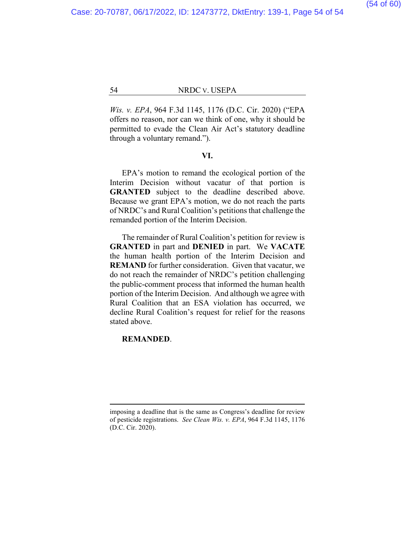(54 of 60)

54 NRDC V. USEPA

*Wis. v. EPA*, 964 F.3d 1145, 1176 (D.C. Cir. 2020) ("EPA offers no reason, nor can we think of one, why it should be permitted to evade the Clean Air Act's statutory deadline through a voluntary remand.").

#### **VI.**

EPA's motion to remand the ecological portion of the Interim Decision without vacatur of that portion is **GRANTED** subject to the deadline described above. Because we grant EPA's motion, we do not reach the parts of NRDC's and Rural Coalition's petitions that challenge the remanded portion of the Interim Decision.

The remainder of Rural Coalition's petition for review is **GRANTED** in part and **DENIED** in part. We **VACATE** the human health portion of the Interim Decision and **REMAND** for further consideration. Given that vacatur, we do not reach the remainder of NRDC's petition challenging the public-comment process that informed the human health portion of the Interim Decision. And although we agree with Rural Coalition that an ESA violation has occurred, we decline Rural Coalition's request for relief for the reasons stated above.

#### **REMANDED**.

imposing a deadline that is the same as Congress's deadline for review of pesticide registrations. *See Clean Wis. v. EPA*, 964 F.3d 1145, 1176 (D.C. Cir. 2020).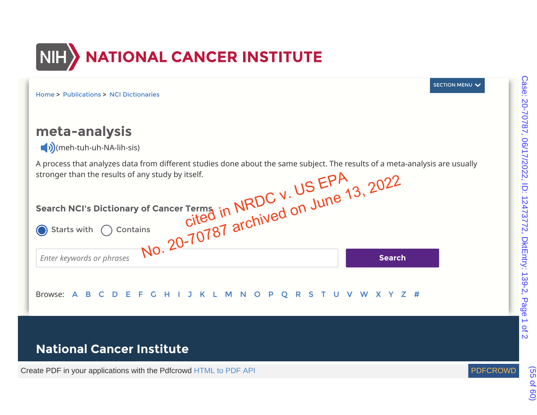

Home > Publications > NCI Dictionaries

# **meta-analysis**

 $\neg$ ) (meh-tuh-uh-NA-lih-sis)

A process that analyzes data from different studies done about the same subject. The results of a meta-analysis are usually stronger than the results of any study by itself.

| Search NCI's Dictionary of Cancer Terms in NRDC V. US EPA<br>vith O Contains<br>No. 20-70787 archived on June 13, 20 |               |
|----------------------------------------------------------------------------------------------------------------------|---------------|
|                                                                                                                      |               |
| Enter keywords or phrases                                                                                            | <b>Search</b> |
| H I J K L M N O<br>EF.<br>P Q<br>R S<br>Browse:                                                                      | WXYZ#         |

# **National Cancer Institute**

&UHDWH3')LQ\RXUDSSOLFDWLRQVZLWKWKH3GIFURZG+70/WR3')\$3, 3')&52:'



SECTION MENU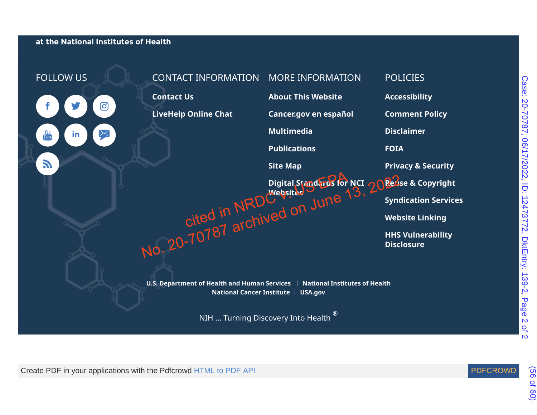at the National Institutes of Health



Case: 20-70787, 06/17/2022, ID: 12473772, DktEntry: 139-2, Page 2 Case: 20-70787, 06/17/2022, ID: 12473772, DktEntry: 139-2, Page 2 of 2  $Q_{\uparrow}$ 

Create PDF in your applications with the Pdfcrowd HTML to PDF API

(56 of 60)

 $\overline{M}$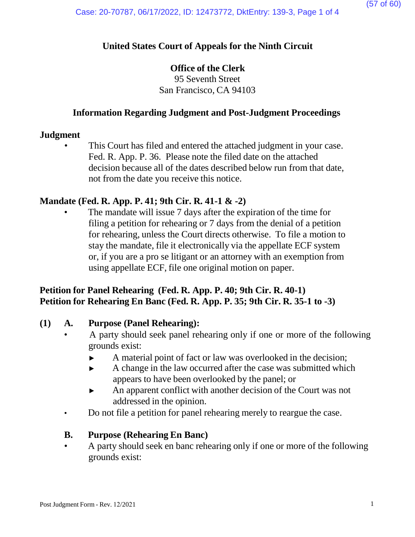## **United States Court of Appeals for the Ninth Circuit**

### **Office of the Clerk**

95 Seventh Street San Francisco, CA 94103

### **Information Regarding Judgment and Post-Judgment Proceedings**

### **Judgment**

This Court has filed and entered the attached judgment in your case. Fed. R. App. P. 36. Please note the filed date on the attached decision because all of the dates described below run from that date, not from the date you receive this notice.

### **Mandate (Fed. R. App. P. 41; 9th Cir. R. 41-1 & -2)**

The mandate will issue 7 days after the expiration of the time for filing a petition for rehearing or 7 days from the denial of a petition for rehearing, unless the Court directs otherwise. To file a motion to stay the mandate, file it electronically via the appellate ECF system or, if you are a pro se litigant or an attorney with an exemption from using appellate ECF, file one original motion on paper.

## **Petition for Panel Rehearing (Fed. R. App. P. 40; 9th Cir. R. 40-1) Petition for Rehearing En Banc (Fed. R. App. P. 35; 9th Cir. R. 35-1 to -3)**

### **(1) A. Purpose (Panel Rehearing):**

- A party should seek panel rehearing only if one or more of the following grounds exist:
	- ► A material point of fact or law was overlooked in the decision;
	- ► A change in the law occurred after the case was submitted which appears to have been overlooked by the panel; or
	- ► An apparent conflict with another decision of the Court was not addressed in the opinion.
- Do not file a petition for panel rehearing merely to reargue the case.

### **B. Purpose (Rehearing En Banc)**

• A party should seek en banc rehearing only if one or more of the following grounds exist: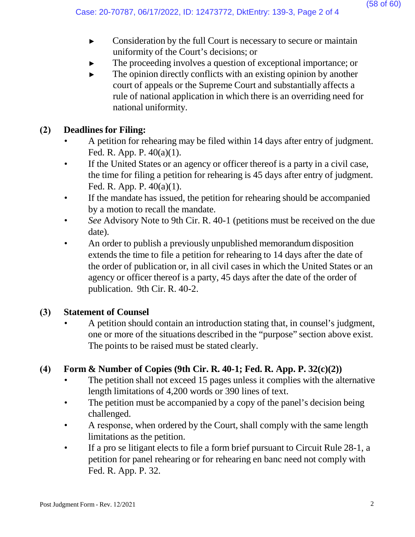- ► Consideration by the full Court is necessary to secure or maintain uniformity of the Court's decisions; or
- The proceeding involves a question of exceptional importance; or
- $\blacktriangleright$  The opinion directly conflicts with an existing opinion by another court of appeals or the Supreme Court and substantially affects a rule of national application in which there is an overriding need for national uniformity.

# **(2) Deadlines for Filing:**

- A petition for rehearing may be filed within 14 days after entry of judgment. Fed. R. App. P. 40(a)(1).
- If the United States or an agency or officer thereof is a party in a civil case, the time for filing a petition for rehearing is 45 days after entry of judgment. Fed. R. App. P. 40(a)(1).
- If the mandate has issued, the petition for rehearing should be accompanied by a motion to recall the mandate.
- *See* Advisory Note to 9th Cir. R. 40-1 (petitions must be received on the due date).
- An order to publish a previously unpublished memorandum disposition extends the time to file a petition for rehearing to 14 days after the date of the order of publication or, in all civil cases in which the United States or an agency or officer thereof is a party, 45 days after the date of the order of publication. 9th Cir. R. 40-2.

# **(3) Statement of Counsel**

• A petition should contain an introduction stating that, in counsel's judgment, one or more of the situations described in the "purpose" section above exist. The points to be raised must be stated clearly.

# **(4) Form & Number of Copies (9th Cir. R. 40-1; Fed. R. App. P. 32(c)(2))**

- The petition shall not exceed 15 pages unless it complies with the alternative length limitations of 4,200 words or 390 lines of text.
- The petition must be accompanied by a copy of the panel's decision being challenged.
- A response, when ordered by the Court, shall comply with the same length limitations as the petition.
- If a pro se litigant elects to file a form brief pursuant to Circuit Rule 28-1, a petition for panel rehearing or for rehearing en banc need not comply with Fed. R. App. P. 32.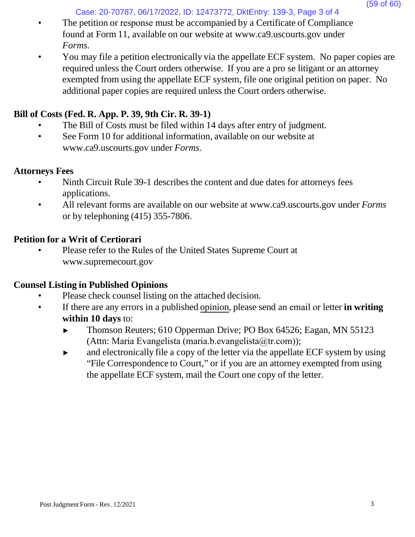Case: 20-70787, 06/17/2022, ID: 12473772, DktEntry: 139-3, Page 3 of 4

- The petition or response must be accompanied by a Certificate of Compliance found at Form 11, available on our website at [www.ca9.uscourts.gov](http://www.ca9.uscourts.gov/) under *Forms.*
- You may file a petition electronically via the appellate ECF system. No paper copies are required unless the Court orders otherwise. If you are a pro se litigant or an attorney exempted from using the appellate ECF system, file one original petition on paper. No additional paper copies are required unless the Court orders otherwise.

# **Bill of Costs (Fed. R. App. P. 39, 9th Cir. R. 39-1)**

- The Bill of Costs must be filed within 14 days after entry of judgment.
- See Form 10 for addi[t](http://www.ca9.uscourts.gov/)ional information, available on our website at [www.ca9.uscourts.gov](http://www.ca9.uscourts.gov/) under *Forms.*

## **Attorneys Fees**

- Ninth Circuit Rule 39-1 describes the content and due dates for attorneys fees applications.
- All relevant forms are available on our website at [www.ca9.uscourts.gov](http://www.ca9.uscourts.gov/) under *Forms* or by telephoning (415) 355-7806.

# **Petition for a Writ of Certiorari**

• Please refer to the Rules of the United States Supreme Court a[t](http://www.supremecourt.gov/) [www.supremecourt.gov](http://www.supremecourt.gov/)

# **Counsel Listing in Published Opinions**

- Please check counsel listing on the attached decision.
- If there are any errors in a published opinion, please send an email or letter **in writing within 10 days** to:
	- ► Thomson Reuters; 610 Opperman Drive; PO Box 64526; Eagan, MN 55123 (Attn: Maria Evangelista (maria.b.evangelista@tr.com));
	- ► and electronically file a copy of the letter via the appellate ECF system by using "File Correspondence to Court," or if you are an attorney exempted from using the appellate ECF system, mail the Court one copy of the letter.